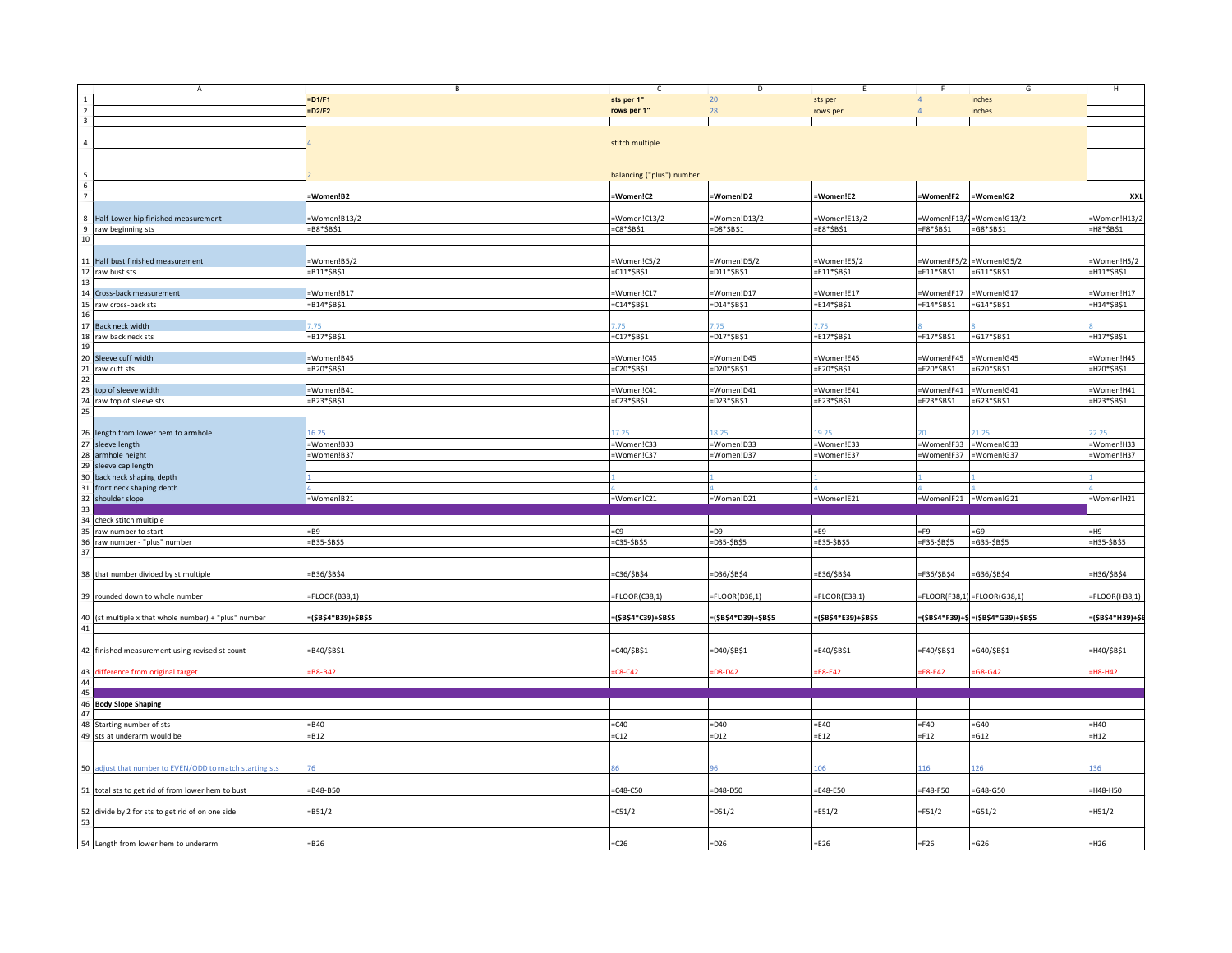|                                            | $\overline{A}$                                          | В                    |                           | D                   |                      | Ē.                    | G                                    | H                |
|--------------------------------------------|---------------------------------------------------------|----------------------|---------------------------|---------------------|----------------------|-----------------------|--------------------------------------|------------------|
|                                            |                                                         | $=$ D1/F1            | sts per 1"                | 20                  | sts per              | $\overline{4}$        | inches                               |                  |
| $\sqrt{2}$                                 |                                                         | $=D2/F2$             | rows per 1"               | 28                  | rows per             |                       | inches                               |                  |
| $\overline{\mathbf{3}}$                    |                                                         |                      |                           |                     |                      |                       |                                      |                  |
|                                            |                                                         |                      |                           |                     |                      |                       |                                      |                  |
| $\sqrt{4}$                                 |                                                         |                      | stitch multiple           |                     |                      |                       |                                      |                  |
|                                            |                                                         |                      |                           |                     |                      |                       |                                      |                  |
|                                            |                                                         |                      |                           |                     |                      |                       |                                      |                  |
|                                            |                                                         |                      |                           |                     |                      |                       |                                      |                  |
| $\begin{array}{r} 5 \\ 6 \\ 7 \end{array}$ |                                                         |                      | balancing ("plus") number |                     |                      |                       |                                      |                  |
|                                            |                                                         |                      |                           |                     |                      |                       |                                      |                  |
|                                            |                                                         | =Women!B2            | =Women!C2                 | =Women!D2           | =Women!E2            | =Women!F2             | =Women!G2                            | XXL              |
|                                            |                                                         |                      |                           |                     |                      |                       |                                      |                  |
| 8                                          | Half Lower hip finished measurement                     | =Women!B13/2         | =Women!C13/2              | Women!D13/2         | Women!E13/2          |                       | Women!F13/2=Women!G13/2              | Women!H13/2      |
| 9                                          | raw beginning sts                                       | $= B8*SB$1$          | $-C8*SB$1$                | $-D8*SB$1$          | $=$ E8*\$B\$1        | $=$ F8*\$B\$1         | $= G8* $B$1$                         | H8*\$B\$1        |
| 10                                         |                                                         |                      |                           |                     |                      |                       |                                      |                  |
|                                            |                                                         |                      |                           |                     |                      |                       |                                      |                  |
|                                            | 11 Half bust finished measurement                       | =Women!B5/2          | Women!C5/2                | Women!D5/2          | =Women!E5/2          | Women!F5/2            | Women!G5/2                           | Women!H5/2       |
|                                            | raw bust sts                                            | $= B11*SB$1$         | $= C11 * $B$1$            | =D11*\$B\$1         | $=$ E11*\$B\$1       | F11*\$B\$1=           | $= G11*SB$1$                         | =H11*\$B\$1      |
| $\begin{array}{c} 12 \\ 13 \end{array}$    |                                                         |                      |                           |                     |                      |                       |                                      |                  |
|                                            |                                                         |                      |                           |                     |                      |                       |                                      |                  |
|                                            | 14 Cross-back measurement                               | =Women!B17           | =Women!C17                | =Women!D17          | =Women!E17           | =Women!F17            | =Women!G17                           | =Women!H17       |
| 15                                         | raw cross-back sts                                      | $= B14*SB$1$         | $= C14*SB$1$              | =D14*\$B\$1         | $=E14*SB$1$          | $=$ F14*\$B\$1        | $=G14*SB$1$                          | =H14*\$B\$1      |
| 16                                         |                                                         |                      |                           |                     |                      |                       |                                      |                  |
|                                            | 17 Back neck width                                      |                      |                           |                     |                      |                       |                                      |                  |
| 18                                         | raw back neck sts                                       | $= B17*5B51$         | $=$ C17*\$B\$1            | $=$ D17*\$B\$1      | $=$ E17*\$B\$1       | $=$ F17*\$B\$1        | $=G17*SB$1$                          | =H17*\$B\$1      |
| 19                                         |                                                         |                      |                           |                     |                      |                       |                                      |                  |
|                                            | 20 Sleeve cuff width                                    | =Women!B45           | =Women!C45                | =Women!D45          | =Women!E45           | =Women!F45            | =Women!G45                           | =Women!H45       |
|                                            | 21 raw cuff sts                                         | =B20*\$B\$1          | =C20*\$B\$1               | =D20*\$B\$1         | $=$ E20*\$B\$1       | =F20*\$B\$1           | =G20*\$B\$1                          | =H20*\$B\$1      |
| 22                                         |                                                         |                      |                           |                     |                      |                       |                                      |                  |
|                                            | 23 top of sleeve width                                  | =Women!B41           | =Women!C41                | =Women!D41          | =Women!E41           | =Women!F41            | =Women!G41                           | =Women!H41       |
| 24                                         | raw top of sleeve sts                                   | $= B23*5B51$         | $-C23*5B51$               | =D23*\$B\$1         | =E23*\$B\$1          | =F23*\$B\$1           | =G23*\$B\$1                          | =H23*\$B\$1      |
| 25                                         |                                                         |                      |                           |                     |                      |                       |                                      |                  |
|                                            |                                                         |                      |                           |                     |                      |                       |                                      |                  |
|                                            |                                                         |                      |                           |                     |                      |                       |                                      |                  |
|                                            | 26 length from lower hem to armhole                     | 16.25                |                           | 8.25                | 9.25                 |                       |                                      |                  |
|                                            | 27 sleeve length                                        | =Women!B33           | Women!C33                 | Women!D33           | =Women!E33           | =Women!F33            | =Women!G33                           | Women!H33        |
|                                            | 28 armhole height                                       | =Women!B37           | =Women!C37                | =Women!D37          | =Women!E37           | =Women!F37 =Women!G37 |                                      | =Women!H37       |
|                                            | 29 sleeve cap length                                    |                      |                           |                     |                      |                       |                                      |                  |
|                                            | 30 back neck shaping depth                              |                      |                           |                     |                      |                       |                                      |                  |
|                                            | 31 front neck shaping depth                             | $\vert 4 \vert$      |                           |                     |                      |                       |                                      |                  |
|                                            | 32 shoulder slope                                       | =Women!B21           | =Women!C21                | =Women!D21          | =Women!E21           | =Women!F21 =Women!G21 |                                      | =Women!H21       |
| 33                                         |                                                         |                      |                           |                     |                      |                       |                                      |                  |
|                                            | 34 check stitch multiple                                |                      |                           |                     |                      |                       |                                      |                  |
|                                            |                                                         |                      |                           |                     |                      |                       |                                      |                  |
|                                            | 35 raw number to start                                  | $= B9$               | $=C9$                     | $=$ D9              | $=$ E9               | $=$ F9                | $= G9$                               | $=$ H9           |
| 36                                         | raw number - "plus" number                              | =B35-\$B\$5          | =C35-\$B\$5               | =D35-\$B\$5         | =E35-\$B\$5          | =F35-\$B\$5           | =G35-\$B\$5                          | H35-\$B\$5       |
| 37                                         |                                                         |                      |                           |                     |                      |                       |                                      |                  |
|                                            |                                                         |                      |                           |                     |                      |                       |                                      |                  |
|                                            | 38 that number divided by st multiple                   | =B36/\$B\$4          | =C36/\$B\$4               | =D36/\$B\$4         | =E36/\$B\$4          | F36/\$B\$4            | =G36/\$B\$4                          | H36/\$B\$4       |
|                                            |                                                         |                      |                           |                     |                      |                       |                                      |                  |
|                                            | 39 rounded down to whole number                         | =FLOOR(B38,1)        | $=$ FLOOR(C38,1)          | FLOOR(D38,1)        | FLOOR(E38,1)         |                       | $FLOOR(F38,1) = FLOOR(G38,1)$        | FLOOR(H38,1)     |
|                                            |                                                         |                      |                           |                     |                      |                       |                                      |                  |
|                                            | 40 (st multiple x that whole number) + "plus" number    | =(\$B\$4*B39)+\$B\$5 | =(\$B\$4*C39)+\$B\$5      | (\$B\$4*D39)+\$B\$5 | :(\$B\$4*E39)+\$B\$5 |                       | :(\$B\$4*F39)+\$=(\$B\$4*G39)+\$B\$5 | (\$B\$4*H39)+\$I |
| 41                                         |                                                         |                      |                           |                     |                      |                       |                                      |                  |
|                                            |                                                         |                      |                           |                     |                      |                       |                                      |                  |
|                                            |                                                         |                      |                           |                     |                      |                       |                                      |                  |
|                                            | 42 finished measurement using revised st count          | B40/\$B\$1           | =C40/\$B\$1               | D40/\$B\$1          | E40/\$B\$1           | F40/\$B\$1            | G40/\$B\$1                           | H40/\$B\$1       |
|                                            |                                                         |                      |                           |                     |                      |                       |                                      |                  |
| 43                                         | difference from original target                         | B8-B42               | $-C8-C42$                 | D8-D42              | E8-E42               | F8-F42                | $-68 - 642$                          | H8-H42           |
| $\frac{44}{45}$                            |                                                         |                      |                           |                     |                      |                       |                                      |                  |
|                                            |                                                         |                      |                           |                     |                      |                       |                                      |                  |
|                                            | 46 Body Slope Shaping                                   |                      |                           |                     |                      |                       |                                      |                  |
| 47                                         |                                                         |                      |                           |                     |                      |                       |                                      |                  |
|                                            | 48 Starting number of sts                               | $= B40$              | $=$ C40                   | =D40                | $=$ E40              | $=$ F40               | $= G40$                              | $=$ H40          |
|                                            | 49 sts at underarm would be                             | $= B12$              | $=$ C12                   | $-D12$              | $=$ E12              | $=F12$                | $= G12$                              | $=$ H12          |
|                                            |                                                         |                      |                           |                     |                      |                       |                                      |                  |
|                                            |                                                         |                      |                           |                     |                      |                       |                                      |                  |
|                                            |                                                         |                      |                           |                     |                      |                       | 126                                  |                  |
|                                            | 50 adjust that number to EVEN/ODD to match starting sts |                      |                           |                     |                      |                       |                                      |                  |
|                                            |                                                         |                      |                           |                     |                      |                       |                                      |                  |
|                                            | 51 total sts to get rid of from lower hem to bust       | $= B48 - B50$        | $= C48 - C50$             | D48-D50             | E48-E50              | F48-F50               | $-G48-G50$                           | H48-H50          |
|                                            |                                                         |                      |                           |                     |                      |                       |                                      |                  |
|                                            | 52 divide by 2 for sts to get rid of on one side        | B51/2                | $-C51/2$                  | D51/2               | E51/2                | F51/2                 | =G51/2                               | H51/2            |
| 53                                         |                                                         |                      |                           |                     |                      |                       |                                      |                  |
|                                            |                                                         |                      |                           |                     |                      |                       |                                      |                  |
|                                            | 54 Length from lower hem to underarm                    | $= B26$              | $= C26$                   | $=$ D26             | $=$ E26              | $=F26$                | $= G26$                              | -H <sub>26</sub> |
|                                            |                                                         |                      |                           |                     |                      |                       |                                      |                  |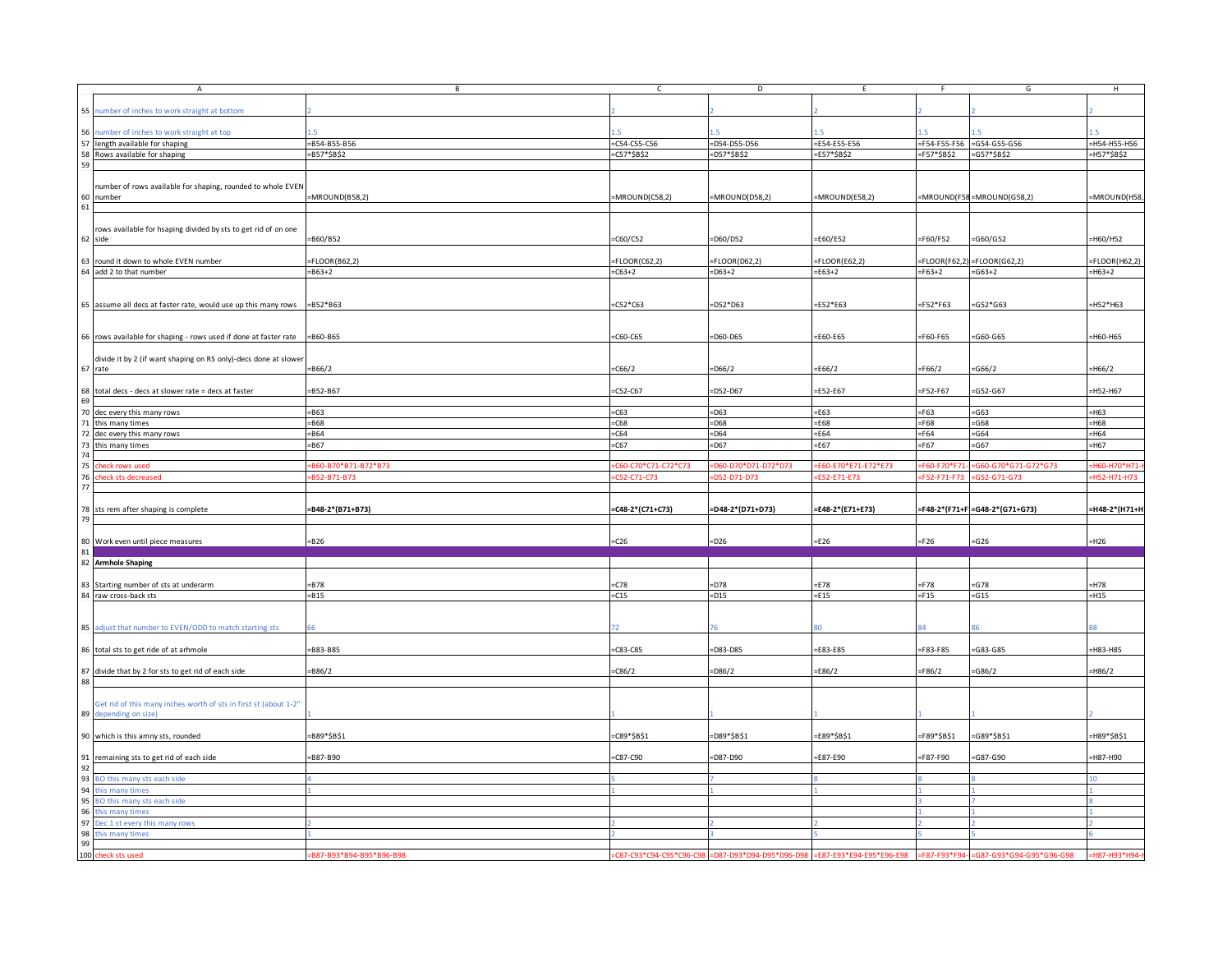| A                                                                                                                                                                                                                                                                                                                                                                                                                                                                                                                                                                                                                                          | B                        | $\mathsf{C}$             | D                       | E                       | -F             | G                                      | H              |
|--------------------------------------------------------------------------------------------------------------------------------------------------------------------------------------------------------------------------------------------------------------------------------------------------------------------------------------------------------------------------------------------------------------------------------------------------------------------------------------------------------------------------------------------------------------------------------------------------------------------------------------------|--------------------------|--------------------------|-------------------------|-------------------------|----------------|----------------------------------------|----------------|
|                                                                                                                                                                                                                                                                                                                                                                                                                                                                                                                                                                                                                                            |                          |                          |                         |                         |                |                                        |                |
| 55 number of inches to work straight at bottom                                                                                                                                                                                                                                                                                                                                                                                                                                                                                                                                                                                             |                          |                          |                         |                         |                |                                        |                |
|                                                                                                                                                                                                                                                                                                                                                                                                                                                                                                                                                                                                                                            |                          |                          |                         |                         |                |                                        |                |
| 56 number of inches to work straight at top                                                                                                                                                                                                                                                                                                                                                                                                                                                                                                                                                                                                |                          |                          |                         |                         |                |                                        |                |
| 57 length available for shaping                                                                                                                                                                                                                                                                                                                                                                                                                                                                                                                                                                                                            | $= B54 - B55 - B56$      | $=$ C54-C55-C56          | $=$ D54-D55-D56         | E54-E55-E56             |                | =F54-F55-F56 =G54-G55-G56              | =H54-H55-H56   |
| 58 Rows available for shaping                                                                                                                                                                                                                                                                                                                                                                                                                                                                                                                                                                                                              | $= B57*SB$2$             | $=$ C57*\$B\$2           | =D57*\$B\$2             | =E57*\$B\$2             | $=$ F57*\$B\$2 | $= G57*SB$2$                           | $=$ H57*\$B\$2 |
|                                                                                                                                                                                                                                                                                                                                                                                                                                                                                                                                                                                                                                            |                          |                          |                         |                         |                |                                        |                |
|                                                                                                                                                                                                                                                                                                                                                                                                                                                                                                                                                                                                                                            |                          |                          |                         |                         |                |                                        |                |
|                                                                                                                                                                                                                                                                                                                                                                                                                                                                                                                                                                                                                                            |                          |                          |                         |                         |                |                                        |                |
| number of rows available for shaping, rounded to whole EVEN                                                                                                                                                                                                                                                                                                                                                                                                                                                                                                                                                                                |                          |                          |                         |                         |                |                                        |                |
| 60 number<br>61                                                                                                                                                                                                                                                                                                                                                                                                                                                                                                                                                                                                                            | MROUND(B58,2)            | =MROUND(C58,2)           | =MROUND(D58,2)          | =MROUND(E58,2)          |                | MROUND(F58=MROUND(G58,2)               | =MROUND(H58)   |
|                                                                                                                                                                                                                                                                                                                                                                                                                                                                                                                                                                                                                                            |                          |                          |                         |                         |                |                                        |                |
|                                                                                                                                                                                                                                                                                                                                                                                                                                                                                                                                                                                                                                            |                          |                          |                         |                         |                |                                        |                |
| rows available for hsaping divided by sts to get rid of on one                                                                                                                                                                                                                                                                                                                                                                                                                                                                                                                                                                             |                          |                          |                         |                         |                |                                        |                |
| 62 side                                                                                                                                                                                                                                                                                                                                                                                                                                                                                                                                                                                                                                    | =B60/B52                 | $-C60/C52$               | =D60/D52                | E60/E52                 | $=F60/F52$     | $=$ G60/G52                            | =H60/H52       |
|                                                                                                                                                                                                                                                                                                                                                                                                                                                                                                                                                                                                                                            |                          |                          |                         |                         |                |                                        |                |
| 63 round it down to whole EVEN number                                                                                                                                                                                                                                                                                                                                                                                                                                                                                                                                                                                                      | $=$ FLOOR(B62,2)         | $=$ FLOOR(C62,2)         | $=$ FLOOR(D62,2)        | $=$ FLOOR(E62,2)        |                | $FLOOR(F62,2) = FLOOR(G62,2)$          | FLOOR(H62,2)   |
| 64 add 2 to that number                                                                                                                                                                                                                                                                                                                                                                                                                                                                                                                                                                                                                    | $= 863 + 2$              | $-C63+2$                 | $=$ D63+2               | $= E63 + 2$             | $=F63+2$       | $= G63 + 2$                            | $=$ H63+2      |
|                                                                                                                                                                                                                                                                                                                                                                                                                                                                                                                                                                                                                                            |                          |                          |                         |                         |                |                                        |                |
|                                                                                                                                                                                                                                                                                                                                                                                                                                                                                                                                                                                                                                            |                          |                          |                         |                         |                |                                        |                |
|                                                                                                                                                                                                                                                                                                                                                                                                                                                                                                                                                                                                                                            |                          |                          |                         |                         |                |                                        |                |
| 65 assume all decs at faster rate, would use up this many rows                                                                                                                                                                                                                                                                                                                                                                                                                                                                                                                                                                             | $= B52* B63$             | $= C52 * C63$            | $=$ D52*D63             | $=$ E52*E63             | $=$ F52*F63    | $= G52*G63$                            | =H52*H63       |
|                                                                                                                                                                                                                                                                                                                                                                                                                                                                                                                                                                                                                                            |                          |                          |                         |                         |                |                                        |                |
|                                                                                                                                                                                                                                                                                                                                                                                                                                                                                                                                                                                                                                            |                          |                          |                         |                         |                |                                        |                |
| 66 rows available for shaping - rows used if done at faster rate                                                                                                                                                                                                                                                                                                                                                                                                                                                                                                                                                                           | $= B60 - B65$            | $=$ C60-C65              | $=$ D60-D65             | =E60-E65                | $=$ F60-F65    | $=$ G60-G65                            | H60-H65        |
|                                                                                                                                                                                                                                                                                                                                                                                                                                                                                                                                                                                                                                            |                          |                          |                         |                         |                |                                        |                |
| divide it by 2 (if want shaping on RS only)-decs done at slower                                                                                                                                                                                                                                                                                                                                                                                                                                                                                                                                                                            |                          |                          |                         |                         |                |                                        |                |
| 67 rate                                                                                                                                                                                                                                                                                                                                                                                                                                                                                                                                                                                                                                    | $= 866/2$                | $-C66/2$                 | $=$ D66/2               | E66/2                   | F66/2          | $=$ G66/2                              | $=$ H66/2      |
|                                                                                                                                                                                                                                                                                                                                                                                                                                                                                                                                                                                                                                            |                          |                          |                         |                         |                |                                        |                |
|                                                                                                                                                                                                                                                                                                                                                                                                                                                                                                                                                                                                                                            |                          |                          |                         |                         |                |                                        |                |
| 68 total decs - decs at slower rate = decs at faster                                                                                                                                                                                                                                                                                                                                                                                                                                                                                                                                                                                       | B52-B67                  | $=$ C52-C67              | $=$ D52-D67             | E52-E67                 | F52-F67        | $= G52 - G67$                          | $=$ H52-H67    |
|                                                                                                                                                                                                                                                                                                                                                                                                                                                                                                                                                                                                                                            |                          |                          |                         |                         |                |                                        |                |
| 70 dec every this many rows                                                                                                                                                                                                                                                                                                                                                                                                                                                                                                                                                                                                                | $= B63$                  | $=$ C63                  | $=$ D63                 | $=$ E63                 | $=F63$         | $= G63$                                | $=$ H63        |
| 71 this many times                                                                                                                                                                                                                                                                                                                                                                                                                                                                                                                                                                                                                         | $= 868$                  | $=$ C68                  | $=$ D68                 | E68                     | $=F68$         | $=$ G68                                | $=$ H68        |
| 72 dec every this many rows                                                                                                                                                                                                                                                                                                                                                                                                                                                                                                                                                                                                                | $= 864$                  | $=$ C64                  | $=$ D64                 | $=$ E64                 | $=F64$         | $= G64$                                | $=$ H64        |
|                                                                                                                                                                                                                                                                                                                                                                                                                                                                                                                                                                                                                                            | $= 867$                  | $=$ C67                  | $=$ D67                 | E67                     | $=F67$         | $=$ G67                                | $=$ H67        |
| this many times                                                                                                                                                                                                                                                                                                                                                                                                                                                                                                                                                                                                                            |                          |                          |                         |                         |                |                                        |                |
|                                                                                                                                                                                                                                                                                                                                                                                                                                                                                                                                                                                                                                            |                          |                          |                         |                         |                |                                        |                |
| 75<br>heck rows used                                                                                                                                                                                                                                                                                                                                                                                                                                                                                                                                                                                                                       | B60-B70*B71-B72*B73      | :C60-C70*C71-C72*C73     | D60-D70*D71-D72*D73     | E60-E70*E71-E72*E73     | F60-F70*F7     | G60-G70*G71-G72*G73                    | H60-H70*H7     |
| 76<br>eck sts decreased                                                                                                                                                                                                                                                                                                                                                                                                                                                                                                                                                                                                                    | B52-B71-B73              | C52-C71-C73              | D52-D71-D73             | E52-E71-E73             | F52-F71-F73    | G52-G71-G73                            | H52-H71-H7     |
|                                                                                                                                                                                                                                                                                                                                                                                                                                                                                                                                                                                                                                            |                          |                          |                         |                         |                |                                        |                |
|                                                                                                                                                                                                                                                                                                                                                                                                                                                                                                                                                                                                                                            |                          |                          |                         |                         |                |                                        |                |
|                                                                                                                                                                                                                                                                                                                                                                                                                                                                                                                                                                                                                                            |                          |                          |                         |                         |                |                                        |                |
|                                                                                                                                                                                                                                                                                                                                                                                                                                                                                                                                                                                                                                            |                          |                          |                         |                         |                |                                        |                |
|                                                                                                                                                                                                                                                                                                                                                                                                                                                                                                                                                                                                                                            | =B48-2*(B71+B73)         | =C48-2*(C71+C73)         | =D48-2*(D71+D73)        | =E48-2*(E71+E73)        |                | =F48-2*(F71+F =G48-2*(G71+G73)         | -H48-2*(H71+H  |
|                                                                                                                                                                                                                                                                                                                                                                                                                                                                                                                                                                                                                                            |                          |                          |                         |                         |                |                                        |                |
|                                                                                                                                                                                                                                                                                                                                                                                                                                                                                                                                                                                                                                            |                          |                          |                         |                         |                |                                        |                |
|                                                                                                                                                                                                                                                                                                                                                                                                                                                                                                                                                                                                                                            | $= B26$                  | $=$ C26                  | $=$ D26                 | $=E26$                  | $=F26$         | $= G26$                                | $=$ H26        |
|                                                                                                                                                                                                                                                                                                                                                                                                                                                                                                                                                                                                                                            |                          |                          |                         |                         |                |                                        |                |
|                                                                                                                                                                                                                                                                                                                                                                                                                                                                                                                                                                                                                                            |                          |                          |                         |                         |                |                                        |                |
|                                                                                                                                                                                                                                                                                                                                                                                                                                                                                                                                                                                                                                            |                          |                          |                         |                         |                |                                        |                |
|                                                                                                                                                                                                                                                                                                                                                                                                                                                                                                                                                                                                                                            | $-B78$                   | C78                      | =D78                    | E78                     | $=$ F78        | $= G78$                                | $=$ H78        |
|                                                                                                                                                                                                                                                                                                                                                                                                                                                                                                                                                                                                                                            | $= 815$                  | $= C15$                  | $=$ D15                 | $=$ E15                 | $=F15$         | $=$ G15                                | $=$ H15        |
|                                                                                                                                                                                                                                                                                                                                                                                                                                                                                                                                                                                                                                            |                          |                          |                         |                         |                |                                        |                |
|                                                                                                                                                                                                                                                                                                                                                                                                                                                                                                                                                                                                                                            |                          |                          |                         |                         |                |                                        |                |
|                                                                                                                                                                                                                                                                                                                                                                                                                                                                                                                                                                                                                                            |                          |                          |                         |                         |                |                                        |                |
|                                                                                                                                                                                                                                                                                                                                                                                                                                                                                                                                                                                                                                            |                          |                          |                         |                         |                |                                        |                |
|                                                                                                                                                                                                                                                                                                                                                                                                                                                                                                                                                                                                                                            |                          |                          |                         |                         |                |                                        |                |
|                                                                                                                                                                                                                                                                                                                                                                                                                                                                                                                                                                                                                                            | B83-B85                  | $= C83 - C85$            | D83-D85                 | E83-E85                 | F83-F85        | $= G83 - G85$                          | H83-H85        |
|                                                                                                                                                                                                                                                                                                                                                                                                                                                                                                                                                                                                                                            |                          |                          |                         |                         |                |                                        |                |
|                                                                                                                                                                                                                                                                                                                                                                                                                                                                                                                                                                                                                                            | B86/2                    | $-C86/2$                 | =D86/2                  | E86/2                   | F86/2          | $=$ G86/2                              | =H86/2         |
|                                                                                                                                                                                                                                                                                                                                                                                                                                                                                                                                                                                                                                            |                          |                          |                         |                         |                |                                        |                |
|                                                                                                                                                                                                                                                                                                                                                                                                                                                                                                                                                                                                                                            |                          |                          |                         |                         |                |                                        |                |
|                                                                                                                                                                                                                                                                                                                                                                                                                                                                                                                                                                                                                                            |                          |                          |                         |                         |                |                                        |                |
| Get rid of this many inches worth of sts in first st (about 1-2"                                                                                                                                                                                                                                                                                                                                                                                                                                                                                                                                                                           |                          |                          |                         |                         |                |                                        |                |
|                                                                                                                                                                                                                                                                                                                                                                                                                                                                                                                                                                                                                                            |                          |                          |                         |                         |                |                                        |                |
|                                                                                                                                                                                                                                                                                                                                                                                                                                                                                                                                                                                                                                            |                          |                          |                         |                         |                |                                        |                |
|                                                                                                                                                                                                                                                                                                                                                                                                                                                                                                                                                                                                                                            | =B89*\$B\$1              | =C89*\$B\$1              | =D89*\$B\$1             | =E89*\$B\$1             | =F89*\$B\$1    | $=G89*SB$1$                            | =H89*\$B\$1    |
|                                                                                                                                                                                                                                                                                                                                                                                                                                                                                                                                                                                                                                            |                          |                          |                         |                         |                |                                        |                |
|                                                                                                                                                                                                                                                                                                                                                                                                                                                                                                                                                                                                                                            | B87-B90                  | $-C87-C90$               | D87-D90                 | E87-E90                 | F87-F90        | =G87-G90                               | H87-H90        |
|                                                                                                                                                                                                                                                                                                                                                                                                                                                                                                                                                                                                                                            |                          |                          |                         |                         |                |                                        |                |
|                                                                                                                                                                                                                                                                                                                                                                                                                                                                                                                                                                                                                                            |                          |                          |                         |                         |                |                                        |                |
|                                                                                                                                                                                                                                                                                                                                                                                                                                                                                                                                                                                                                                            |                          |                          |                         |                         |                |                                        |                |
| this many times                                                                                                                                                                                                                                                                                                                                                                                                                                                                                                                                                                                                                            |                          |                          |                         |                         |                |                                        |                |
|                                                                                                                                                                                                                                                                                                                                                                                                                                                                                                                                                                                                                                            |                          |                          |                         |                         |                |                                        |                |
| this many times                                                                                                                                                                                                                                                                                                                                                                                                                                                                                                                                                                                                                            |                          |                          |                         |                         |                |                                        |                |
|                                                                                                                                                                                                                                                                                                                                                                                                                                                                                                                                                                                                                                            |                          |                          |                         |                         |                |                                        |                |
|                                                                                                                                                                                                                                                                                                                                                                                                                                                                                                                                                                                                                                            |                          |                          |                         |                         |                |                                        |                |
|                                                                                                                                                                                                                                                                                                                                                                                                                                                                                                                                                                                                                                            |                          |                          |                         |                         |                |                                        |                |
| 77<br>78 sts rem after shaping is complete<br>79<br>80 Work even until piece measures<br>81<br>82 Armhole Shaping<br>83 Starting number of sts at underarm<br>84 raw cross-back sts<br>85 adjust that number to EVEN/ODD to match starting sts<br>86 total sts to get ride of at arhmole<br>87 divide that by 2 for sts to get rid of each side<br>88<br>89 depending on size)<br>90 which is this amny sts, rounded<br>91 remaining sts to get rid of each side<br>92<br>93 BO this many sts each side<br>94<br>95 BO this many sts each side<br>96<br>97 Dec 1 st every this many rows<br>98 this many times<br>99<br>100 check sts used | =B87-B93*B94-B95*B96-B98 | =C87-C93*C94-C95*C96-C98 | D87-D93*D94-D95*D96-D98 | E87-E93*E94-E95*E96-E98 |                | =F87-F93*F94- =G87-G93*G94-G95*G96-G98 | =H87-H93*H94-  |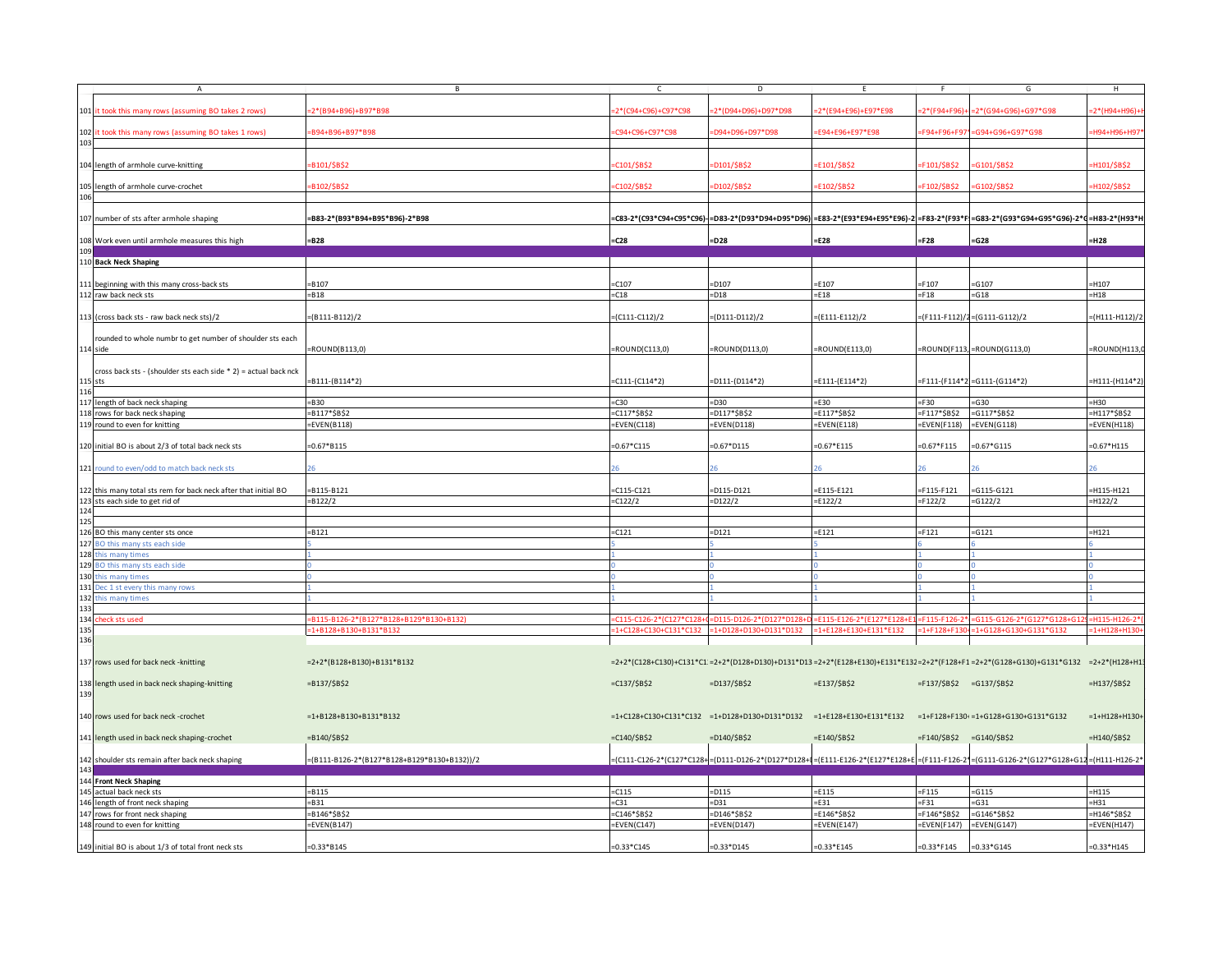| $\overline{A}$                                                        |                                             |                        | D.                     |                                                                                                          |                              | G                                                                                                                                      | H               |
|-----------------------------------------------------------------------|---------------------------------------------|------------------------|------------------------|----------------------------------------------------------------------------------------------------------|------------------------------|----------------------------------------------------------------------------------------------------------------------------------------|-----------------|
| 101 it took this many rows (assuming BO takes 2 rows)                 | :2*(B94+B96)+B97*B98                        | 2*(C94+C96)+C97*C98    | 2*(D94+D96)+D97*D98    | 2*(E94+E96)+E97*E98                                                                                      | $2*(F94+F96)$                | 2*(G94+G96)+G97*G98                                                                                                                    | 2*(H94+H96)     |
| 102 it took this many rows (assuming BO takes 1 rows)                 | B94+B96+B97*B98                             | 34+C96+C97*C98         | D94+D96+D97*D98        | E94+E96+E97*E98                                                                                          | F94+F96+F97*                 | G94+G96+G97*G98                                                                                                                        | H94+H96+H97     |
| 103                                                                   |                                             |                        |                        |                                                                                                          |                              |                                                                                                                                        |                 |
| 104 length of armhole curve-knitting                                  | B101/\$B\$2                                 | C101/\$B\$2            | D101/\$B\$2            | E101/\$B\$2                                                                                              | 101/\$B\$2                   | G101/\$B\$2                                                                                                                            | H101/\$B\$2     |
| 105 length of armhole curve-crochet                                   | B102/\$B\$2                                 | C102/\$B\$2            | D102/\$B\$2            | E102/\$B\$2                                                                                              | 102/\$B\$2                   | G102/\$B\$2                                                                                                                            | H102/\$B\$2     |
| 106                                                                   |                                             |                        |                        |                                                                                                          |                              |                                                                                                                                        |                 |
| 107 number of sts after armhole shaping                               | =B83-2*(B93*B94+B95*B96)-2*B98              |                        |                        |                                                                                                          |                              | =C83-2*(C93*C94+C95*C96)- =D83-2*(D93*D94+D95*D96) =E83-2*(E93*E94+E95*E96)-2 =F83-2*(F93*F =G83-2*(G93*G94+G95*G96)-2*d=H83-2*(H93*H  |                 |
| 108 Work even until armhole measures this high                        | =B28                                        | $=$ C28                | $=$ D28                | =E28                                                                                                     | $=F28$                       | $= G28$                                                                                                                                | =H28            |
| 10 <sup>c</sup><br>110 Back Neck Shaping                              |                                             |                        |                        |                                                                                                          |                              |                                                                                                                                        |                 |
| 111 beginning with this many cross-back sts                           | B107                                        | $-C107$                | $=$ D107               | $=$ E107                                                                                                 | F107                         | G107                                                                                                                                   | -H107           |
| 112 raw back neck sts                                                 | $= B18$                                     | $= C18$                | $=$ D18                | $=$ E18                                                                                                  | $=F18$                       | $-618$                                                                                                                                 | $=$ H18         |
| 113 (cross back sts - raw back neck sts)/2                            | $=(B111-B112)/2$                            | $(C111-C112)/2$        | $=(D111-D112)/2$       | $=(E111-E112)/2$                                                                                         |                              | F111-F112)/2=(G111-G112)/2)                                                                                                            | (H111-H112)/2   |
|                                                                       |                                             |                        |                        |                                                                                                          |                              |                                                                                                                                        |                 |
| rounded to whole numbr to get number of shoulder sts each<br>114 side | =ROUND(B113,0)                              | $=$ ROUND(C113,0)      | $=$ ROUND(D113,0)      | $=$ ROUND(E113,0)                                                                                        |                              | $=$ ROUND(F113, $=$ ROUND(G113,0)                                                                                                      | ROUND(H113,     |
| cross back sts - (shoulder sts each side * 2) = actual back nck       |                                             |                        |                        |                                                                                                          |                              |                                                                                                                                        |                 |
| $115$ sts                                                             | =B111-(B114*2)                              | $-C111-(C114*2)$       | $=$ D111-(D114*2)      | $=$ E111-(E114*2)                                                                                        |                              | F111-(F114*2=G111-(G114*2)                                                                                                             | -H111-(H114*2   |
| 116<br>117 length of back neck shaping                                | $= B30$                                     | $=$ C30                | $=$ D30                | $=$ E30                                                                                                  | F30                          | $= G30$                                                                                                                                | H30             |
| 118 rows for back neck shaping                                        | =B117*\$B\$2                                | C117*\$B\$2=           | =D117*\$B\$2           | $=$ E117*\$B\$2                                                                                          | F117*\$B\$2=                 | $=G117*SB$2$                                                                                                                           | =H117*\$B\$2    |
| 119 round to even for knitting                                        | $=$ EVEN(B118)                              | $=$ EVEN(C118)         | $=$ EVEN(D118)         | $=$ EVEN(E118)                                                                                           | $=$ EVEN(F118)               | $=$ EVEN(G118)                                                                                                                         | EVEN(H118)      |
| 120 initial BO is about 2/3 of total back neck sts                    | $=0.67*B115$                                | $=0.67*C115$           | $=0.67*D115$           | $=0.67*E115$                                                                                             | $=0.67*F115$                 | $=0.67*G115$                                                                                                                           | $=0.67*H115$    |
| 121 round to even/odd to match back neck sts                          |                                             |                        |                        |                                                                                                          |                              |                                                                                                                                        |                 |
| 122 this many total sts rem for back neck after that initial BO       | $= B115 - B121$                             | $-C115-C121$           | $=$ D115-D121          | $=$ E115-E121                                                                                            | F115-F121                    | $= G115 - G121$                                                                                                                        | H115-H121       |
| 123 sts each side to get rid of                                       | $= B122/2$                                  | $-C122/2$              | $=$ D122/2             | $=$ E122/2                                                                                               | F122/2                       | $= G122/2$                                                                                                                             | $=$ H122/2      |
| 125                                                                   |                                             |                        |                        |                                                                                                          |                              |                                                                                                                                        |                 |
| 126 BO this many center sts once                                      | $= B121$                                    | $= C121$               | $=$ D121               | $=$ E121                                                                                                 | $=F121$                      | $= G121$                                                                                                                               | =H121           |
| 127<br>BO this many sts each side                                     |                                             |                        |                        |                                                                                                          |                              |                                                                                                                                        |                 |
| 128 this many times<br>129 BO this many sts each side                 |                                             |                        |                        |                                                                                                          |                              |                                                                                                                                        |                 |
| 130 this many times                                                   |                                             |                        |                        |                                                                                                          |                              |                                                                                                                                        |                 |
| 131 Dec 1 st every this many rows                                     |                                             |                        |                        |                                                                                                          |                              |                                                                                                                                        |                 |
| 132 this many times                                                   |                                             |                        |                        |                                                                                                          |                              |                                                                                                                                        |                 |
| 133                                                                   |                                             |                        |                        |                                                                                                          |                              |                                                                                                                                        |                 |
| 134 check sts used                                                    | =B115-B126-2*(B127*B128+B129*B130+B132)     | C115-C126-2*(C127*C128 | 0115-0126-2*(D127*D128 | :F115-F126-2*(F127*F128+                                                                                 | 115-F126-                    |                                                                                                                                        | H115-H126-1     |
| 135<br>136                                                            | =1+B128+B130+B131*B132                      | :1+C128+C130+C131*C132 | :1+D128+D130+D131*D132 | $=1+E128+E130+E131*E132$                                                                                 | $=1 + F128 + F130$           | :1+G128+G130+G131*G132                                                                                                                 | $=1+H128+H13$   |
|                                                                       |                                             |                        |                        |                                                                                                          |                              |                                                                                                                                        |                 |
| 137 rows used for back neck - knitting                                | $=2+2*(B128+B130)+B131*B132$                |                        |                        |                                                                                                          |                              | =2+2*(C128+C130)+C131*C1:=2+2*(D128+D130)+D131*D13=2+2*(E128+E130)+E131*E13;=2+2*(F128+F1=2+2*(G128+G130)+G131*G132 =2+2*(H128+H1:     |                 |
| 138 length used in back neck shaping-knitting                         | $= B137 / $B$2$                             | $=C137/5B52$           | $=D137/\$B$2$          | $=$ E137/\$B\$2                                                                                          | $=$ F137/\$B\$2 =G137/\$B\$2 |                                                                                                                                        | $=$ H137/\$B\$2 |
| 139                                                                   |                                             |                        |                        |                                                                                                          |                              |                                                                                                                                        |                 |
| 140 rows used for back neck -crochet                                  | $=1+ B128 + B130 + B131 * B132$             |                        |                        | =1+C128+C130+C131*C132 =1+D128+D130+D131*D132 =1+E128+E130+E131*E132 =1+F128+F130+=1+G128+G130+G131*G132 |                              |                                                                                                                                        | $=1+H128+H130+$ |
| 141 length used in back neck shaping-crochet                          | $= B140 / $B$2$                             | $=C140/5B52$           | $=D140/\$B$2$          | $=$ E140/\$B\$2                                                                                          | $=$ F140/\$B\$2              | $=G140/\$B$2$                                                                                                                          | =H140/\$B\$2    |
| 142 shoulder sts remain after back neck shaping                       | =(B111-B126-2*(B127*B128+B129*B130+B132))/2 |                        |                        |                                                                                                          |                              | =(C111-C126-2*(C127*C128+=(D111-D126-2*(D127*D128+I=(E111-E126-2*(E127*E128+E=(F111-F126-2*=(G111-G126-2*(G127*G128+G12=(H111-H126-2*) |                 |
| 143                                                                   |                                             |                        |                        |                                                                                                          |                              |                                                                                                                                        |                 |
| 144 Front Neck Shaping<br>145 actual back neck sts                    | $= B115$                                    | $=$ C115               | $=$ D115               | $=$ E115                                                                                                 | $=F115$                      | $= G115$                                                                                                                               | $=$ H115        |
| 146 length of front neck shaping                                      | $=$ B31                                     | $= C31$                | $-D31$                 | $=$ E31                                                                                                  | $=F31$                       | $-631$                                                                                                                                 | H31             |
| 147 rows for front neck shaping                                       | B146*\$B\$2                                 | C146*\$B\$2            | =D146*\$B\$2           | =E146*\$B\$2                                                                                             | F146*\$B\$2                  | $=G146*SB$2$                                                                                                                           | H146*\$B\$2     |
| 148 round to even for knitting                                        | $=$ EVEN(B147)                              | =EVEN(C147)            | $=$ EVEN(D147)         | $=$ EVEN(E147)                                                                                           |                              | $=$ EVEN(F147) $=$ EVEN(G147)                                                                                                          | =EVEN(H147)     |
|                                                                       |                                             |                        |                        |                                                                                                          |                              |                                                                                                                                        |                 |
| 149 initial BO is about 1/3 of total front neck sts                   | $=0.33*B145$                                | $=0.33 * C145$         | $=0.33*D145$           | $=0.33*E145$                                                                                             | $=0.33*F145$ = 0.33*G145     |                                                                                                                                        | $=0.33*H145$    |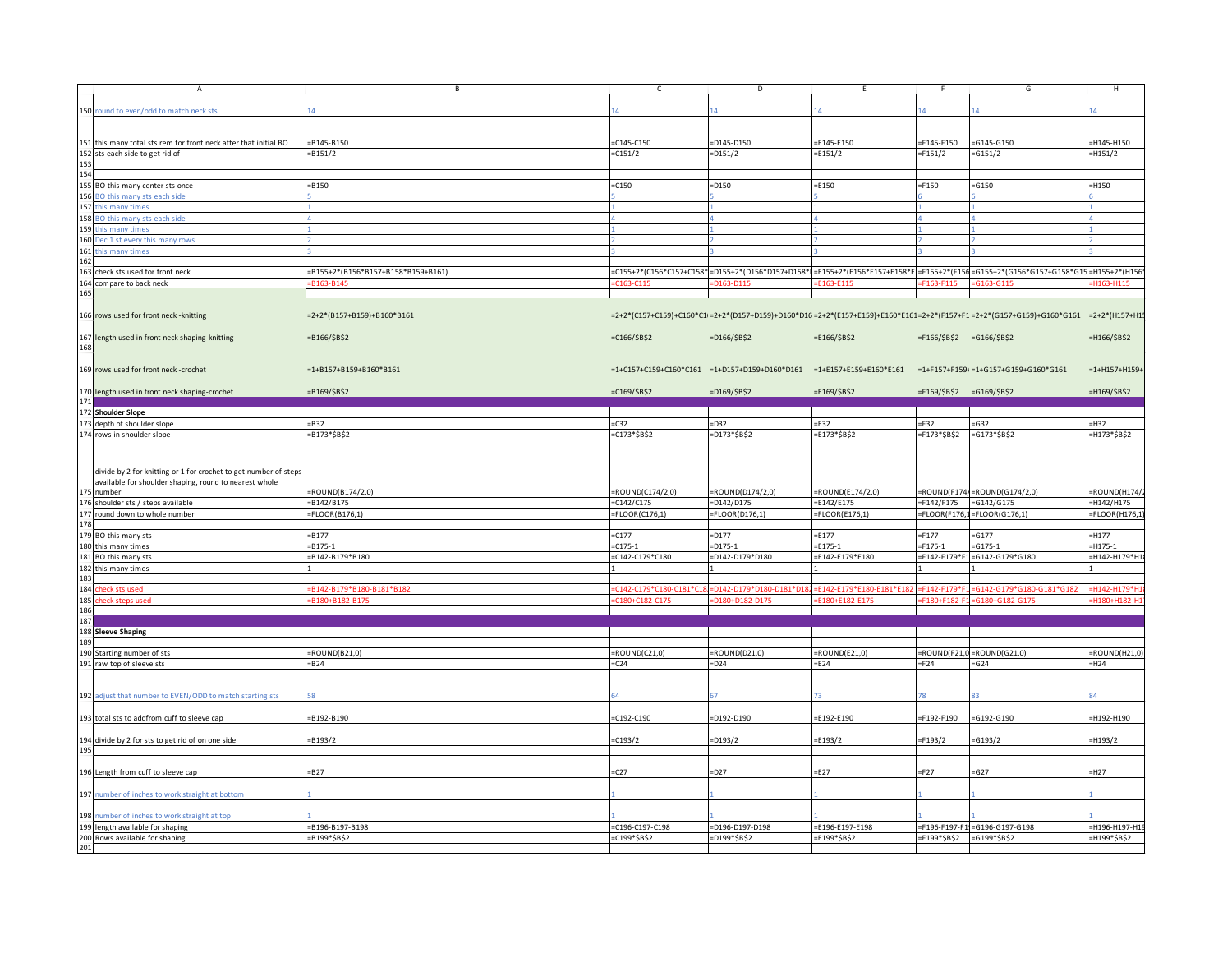| ound to even/odd to match neck sts<br>150 r<br>151 this many total sts rem for front neck after that initial BO<br>B145-B150<br>$-C145-C150$<br>D145-D150<br>E145-E150<br>F145-F150<br>$= G145 - G150$<br>H145-H150<br>152 sts each side to get rid of<br>$-B151/2$<br>C151/2<br>$= 0151/2$<br>E151/2<br>F151/2<br>$= G151/2$<br>$=$ H151/2<br>155 BO this many center sts once<br>B150<br>$=$ C150<br>$=$ D150<br>$=$ E150<br>$=F150$<br>$=$ G150<br>H150<br>156 BO this many sts each side<br>157 this many times<br>158 BO this many sts each side<br>159 <sub>t</sub><br>his many times<br>160 Dec 1 st every this many rows<br>161 this many times<br>162<br>163 check sts used for front neck<br>=B155+2*(B156*B157+B158*B159+B161)<br>=C155+2*(C156*C157+C158*<br>=D155+2*(D156*D157+D158*I=E155+2*(E156*E157+E158*E =F155+2*(F156=G155+2*(G156*G157+G158*G15=H155+2*(H156<br>164 compare to back neck<br>B163-B145<br>C163-C115<br>E163-E115<br>$-6163 - 6115$<br>H163-H115<br>D163-D115<br>F163-F115<br>165<br>=2+2*(C157+C159)+C160*C1=2+2*(P157+P159)+D160*D16=2+2*(E157+E159)+E160*E161=2+2*(F157+F1=2+2*(G157+G159)+G160*G161 =2+2*(H157+H1<br>166 rows used for front neck - knitting<br>$=2+2*(B157+B159)+B160*B161$<br>167 length used in front neck shaping-knitting<br>$=C166/ $B$2$<br>$=$ H166/\$B\$2<br>$= B166 / $B$2$<br>$=$ D166/\$B\$2<br>$=$ E166/\$B\$2<br>$=$ F166/\$B\$2 =G166/\$B\$2<br>169 rows used for front neck -crochet<br>$=1+B157+B159+B160*B161$<br>$=1+C157+C159+C160*C161$ $=1+D157+D159+D160*D161$ $=1+E157+E159+E160*E161$<br>=1+F157+F159+=1+G157+G159+G160*G161<br>$=1+H157+H159+$<br>170 length used in front neck shaping-crochet<br>$= B169 / $B$2$<br>$=C169/5B52$<br>$=D169/ $B$2$<br>$=E169/$B$2$<br>$=$ F169/\$B\$2 =G169/\$B\$2<br>=H169/\$B\$2<br>171<br>172 Shoulder Slope<br>173 depth of shoulder slope<br>B32<br>$=$ D32<br>$=$ E32<br>$=G32$<br>-H32<br>$= C32$<br>$=$ F32<br>174 rows in shoulder slope<br>B173*\$B\$2<br>=C173*\$B\$2<br>$=$ D173*\$B\$2<br>=E173*\$B\$2<br>=F173*\$B\$2<br>$=G173*SB$2$<br>=H173*\$B\$2<br>divide by 2 for knitting or 1 for crochet to get number of steps<br>available for shoulder shaping, round to nearest whole<br>ROUND(C174/2,0)<br>=ROUND(D174/2,0)<br>$=$ ROUND(E174/2,0)<br>$=$ ROUND(F174/=ROUND(G174/2,0)<br>ROUND(H174/<br>175 number<br>ROUND(B174/2,0)<br>$=G142/G175$<br>$=$ D142/D175<br>$=$ E142/E175<br>=H142/H175<br>176 shoulder sts / steps available<br>B142/B175<br>$=C142/C175$<br>$=F142/F175$<br>177 round down to whole number<br>$=$ FLOOR(B176,1)<br>$=$ FLOOR(C176,1)<br>$=$ FLOOR(D176,1)<br>$=$ FLOOR(E176,1)<br>$= FLOOR(F176, 1 = FLOOR(G176, 1))$<br>FLOOR(H176,<br>178<br>179 BO this many sts<br>B177<br>$=$ C177<br>$=$ D177<br>$=$ E177<br>$=F177$<br>$= G177$<br>-H177<br>$-B175-1$<br>$= C175 - 1$<br>$=$ D175-1<br>$=$ E175-1<br>$=F175-1$<br>$= G175 - 1$<br>H175-1<br>180 this many times<br>181 BO this many sts<br>B142-B179*B180<br>=C142-C179*C180<br>=D142-D179*D180<br>=E142-E179*E180<br>=F142-F179*F1=G142-G179*G180<br>=H142-H179*H<br>182 this many times<br>183<br>184<br>heck sts used<br>B142-B179*B180-B181*B182<br>C142-C179*C180-C181*0<br>0142-0179*0180-0181*0<br>=F142-F179*F180-F181*F18<br>$E142 - E179*$<br>3142-G179*G180-G181*G182<br>H142-H179*<br>185<br>heck steps used<br>C180+C182-C17<br>E180+E182-E17<br>-H180+H182-<br>B180+B182-B175<br>D180+D182-D17<br>F180+F182<br>G180+G182-G17<br>186<br>187<br>188 Sleeve Shaping<br>$=$ ROUND(B21,0)<br>$=$ ROUND(C21,0)<br>$=$ ROUND(D21,0)<br>$=$ ROUND(E21,0)<br>$=$ ROUND(F21,0 = ROUND(G21,0)<br>190 Starting number of sts<br>ROUND(H21,0<br>$= B24$<br>$= C24$<br>$=$ D24<br>$=$ E24<br>$=F24$<br>$= G24$<br>191 raw top of sleeve sts<br>=H24<br>192 adjust that number to EVEN/ODD to match starting sts<br>193 total sts to addfrom cuff to sleeve cap<br>$= B192 - B190$<br>$=$ C192-C190<br>=D192-D190<br>=E192-E190<br>F192-F190<br>$= G192 - G190$<br>H192-H190<br>194 divide by 2 for sts to get rid of on one side<br>B193/2<br>$-C193/2$<br>=D193/2<br>E193/2<br>F193/2<br>$= G193/2$<br>H193/2<br>195<br>E27<br>$-B27$<br>C27<br>$=$ D27<br>$=F27$<br>$= G27$<br>H <sub>27</sub><br>196 Length from cuff to sleeve cap<br>197 number of inches to work straight at bottom<br>198 number of inches to work straight at top<br>B196-B197-B198<br>=C196-C197-C198<br>=D196-D197-D198<br>=E196-E197-E198<br>=F196-F197-F1=G196-G197-G198<br>H196-H197-H1<br>199 length available for shaping<br>200 Rows available for shaping<br>B199*\$B\$2<br>C199*\$B\$2<br>=D199*\$B\$2<br>E199*\$B\$2<br>=F199*\$B\$2 =G199*\$B\$2<br>H199*\$B\$2<br>201 |     | $\overline{A}$ | B | $\mathsf{C}$ | D | E | F. | G | H |
|----------------------------------------------------------------------------------------------------------------------------------------------------------------------------------------------------------------------------------------------------------------------------------------------------------------------------------------------------------------------------------------------------------------------------------------------------------------------------------------------------------------------------------------------------------------------------------------------------------------------------------------------------------------------------------------------------------------------------------------------------------------------------------------------------------------------------------------------------------------------------------------------------------------------------------------------------------------------------------------------------------------------------------------------------------------------------------------------------------------------------------------------------------------------------------------------------------------------------------------------------------------------------------------------------------------------------------------------------------------------------------------------------------------------------------------------------------------------------------------------------------------------------------------------------------------------------------------------------------------------------------------------------------------------------------------------------------------------------------------------------------------------------------------------------------------------------------------------------------------------------------------------------------------------------------------------------------------------------------------------------------------------------------------------------------------------------------------------------------------------------------------------------------------------------------------------------------------------------------------------------------------------------------------------------------------------------------------------------------------------------------------------------------------------------------------------------------------------------------------------------------------------------------------------------------------------------------------------------------------------------------------------------------------------------------------------------------------------------------------------------------------------------------------------------------------------------------------------------------------------------------------------------------------------------------------------------------------------------------------------------------------------------------------------------------------------------------------------------------------------------------------------------------------------------------------------------------------------------------------------------------------------------------------------------------------------------------------------------------------------------------------------------------------------------------------------------------------------------------------------------------------------------------------------------------------------------------------------------------------------------------------------------------------------------------------------------------------------------------------------------------------------------------------------------------------------------------------------------------------------------------------------------------------------------------------------------------------------------------------------------------------------------------------------------------------------------------------------------------------------------------------------------------------------------------------------------------------------------------------------------------------------------------------------------------------------------------------------------------------------------------------------------------------------------------------------------------------------------------------------------------------------------------------------------------------------------------------------------------------------------------------------------------------------------------|-----|----------------|---|--------------|---|---|----|---|---|
|                                                                                                                                                                                                                                                                                                                                                                                                                                                                                                                                                                                                                                                                                                                                                                                                                                                                                                                                                                                                                                                                                                                                                                                                                                                                                                                                                                                                                                                                                                                                                                                                                                                                                                                                                                                                                                                                                                                                                                                                                                                                                                                                                                                                                                                                                                                                                                                                                                                                                                                                                                                                                                                                                                                                                                                                                                                                                                                                                                                                                                                                                                                                                                                                                                                                                                                                                                                                                                                                                                                                                                                                                                                                                                                                                                                                                                                                                                                                                                                                                                                                                                                                                                                                                                                                                                                                                                                                                                                                                                                                                                                                                                                                                  |     |                |   |              |   |   |    |   |   |
|                                                                                                                                                                                                                                                                                                                                                                                                                                                                                                                                                                                                                                                                                                                                                                                                                                                                                                                                                                                                                                                                                                                                                                                                                                                                                                                                                                                                                                                                                                                                                                                                                                                                                                                                                                                                                                                                                                                                                                                                                                                                                                                                                                                                                                                                                                                                                                                                                                                                                                                                                                                                                                                                                                                                                                                                                                                                                                                                                                                                                                                                                                                                                                                                                                                                                                                                                                                                                                                                                                                                                                                                                                                                                                                                                                                                                                                                                                                                                                                                                                                                                                                                                                                                                                                                                                                                                                                                                                                                                                                                                                                                                                                                                  |     |                |   |              |   |   |    |   |   |
|                                                                                                                                                                                                                                                                                                                                                                                                                                                                                                                                                                                                                                                                                                                                                                                                                                                                                                                                                                                                                                                                                                                                                                                                                                                                                                                                                                                                                                                                                                                                                                                                                                                                                                                                                                                                                                                                                                                                                                                                                                                                                                                                                                                                                                                                                                                                                                                                                                                                                                                                                                                                                                                                                                                                                                                                                                                                                                                                                                                                                                                                                                                                                                                                                                                                                                                                                                                                                                                                                                                                                                                                                                                                                                                                                                                                                                                                                                                                                                                                                                                                                                                                                                                                                                                                                                                                                                                                                                                                                                                                                                                                                                                                                  |     |                |   |              |   |   |    |   |   |
|                                                                                                                                                                                                                                                                                                                                                                                                                                                                                                                                                                                                                                                                                                                                                                                                                                                                                                                                                                                                                                                                                                                                                                                                                                                                                                                                                                                                                                                                                                                                                                                                                                                                                                                                                                                                                                                                                                                                                                                                                                                                                                                                                                                                                                                                                                                                                                                                                                                                                                                                                                                                                                                                                                                                                                                                                                                                                                                                                                                                                                                                                                                                                                                                                                                                                                                                                                                                                                                                                                                                                                                                                                                                                                                                                                                                                                                                                                                                                                                                                                                                                                                                                                                                                                                                                                                                                                                                                                                                                                                                                                                                                                                                                  |     |                |   |              |   |   |    |   |   |
|                                                                                                                                                                                                                                                                                                                                                                                                                                                                                                                                                                                                                                                                                                                                                                                                                                                                                                                                                                                                                                                                                                                                                                                                                                                                                                                                                                                                                                                                                                                                                                                                                                                                                                                                                                                                                                                                                                                                                                                                                                                                                                                                                                                                                                                                                                                                                                                                                                                                                                                                                                                                                                                                                                                                                                                                                                                                                                                                                                                                                                                                                                                                                                                                                                                                                                                                                                                                                                                                                                                                                                                                                                                                                                                                                                                                                                                                                                                                                                                                                                                                                                                                                                                                                                                                                                                                                                                                                                                                                                                                                                                                                                                                                  |     |                |   |              |   |   |    |   |   |
|                                                                                                                                                                                                                                                                                                                                                                                                                                                                                                                                                                                                                                                                                                                                                                                                                                                                                                                                                                                                                                                                                                                                                                                                                                                                                                                                                                                                                                                                                                                                                                                                                                                                                                                                                                                                                                                                                                                                                                                                                                                                                                                                                                                                                                                                                                                                                                                                                                                                                                                                                                                                                                                                                                                                                                                                                                                                                                                                                                                                                                                                                                                                                                                                                                                                                                                                                                                                                                                                                                                                                                                                                                                                                                                                                                                                                                                                                                                                                                                                                                                                                                                                                                                                                                                                                                                                                                                                                                                                                                                                                                                                                                                                                  |     |                |   |              |   |   |    |   |   |
|                                                                                                                                                                                                                                                                                                                                                                                                                                                                                                                                                                                                                                                                                                                                                                                                                                                                                                                                                                                                                                                                                                                                                                                                                                                                                                                                                                                                                                                                                                                                                                                                                                                                                                                                                                                                                                                                                                                                                                                                                                                                                                                                                                                                                                                                                                                                                                                                                                                                                                                                                                                                                                                                                                                                                                                                                                                                                                                                                                                                                                                                                                                                                                                                                                                                                                                                                                                                                                                                                                                                                                                                                                                                                                                                                                                                                                                                                                                                                                                                                                                                                                                                                                                                                                                                                                                                                                                                                                                                                                                                                                                                                                                                                  | 153 |                |   |              |   |   |    |   |   |
|                                                                                                                                                                                                                                                                                                                                                                                                                                                                                                                                                                                                                                                                                                                                                                                                                                                                                                                                                                                                                                                                                                                                                                                                                                                                                                                                                                                                                                                                                                                                                                                                                                                                                                                                                                                                                                                                                                                                                                                                                                                                                                                                                                                                                                                                                                                                                                                                                                                                                                                                                                                                                                                                                                                                                                                                                                                                                                                                                                                                                                                                                                                                                                                                                                                                                                                                                                                                                                                                                                                                                                                                                                                                                                                                                                                                                                                                                                                                                                                                                                                                                                                                                                                                                                                                                                                                                                                                                                                                                                                                                                                                                                                                                  | 154 |                |   |              |   |   |    |   |   |
|                                                                                                                                                                                                                                                                                                                                                                                                                                                                                                                                                                                                                                                                                                                                                                                                                                                                                                                                                                                                                                                                                                                                                                                                                                                                                                                                                                                                                                                                                                                                                                                                                                                                                                                                                                                                                                                                                                                                                                                                                                                                                                                                                                                                                                                                                                                                                                                                                                                                                                                                                                                                                                                                                                                                                                                                                                                                                                                                                                                                                                                                                                                                                                                                                                                                                                                                                                                                                                                                                                                                                                                                                                                                                                                                                                                                                                                                                                                                                                                                                                                                                                                                                                                                                                                                                                                                                                                                                                                                                                                                                                                                                                                                                  |     |                |   |              |   |   |    |   |   |
|                                                                                                                                                                                                                                                                                                                                                                                                                                                                                                                                                                                                                                                                                                                                                                                                                                                                                                                                                                                                                                                                                                                                                                                                                                                                                                                                                                                                                                                                                                                                                                                                                                                                                                                                                                                                                                                                                                                                                                                                                                                                                                                                                                                                                                                                                                                                                                                                                                                                                                                                                                                                                                                                                                                                                                                                                                                                                                                                                                                                                                                                                                                                                                                                                                                                                                                                                                                                                                                                                                                                                                                                                                                                                                                                                                                                                                                                                                                                                                                                                                                                                                                                                                                                                                                                                                                                                                                                                                                                                                                                                                                                                                                                                  |     |                |   |              |   |   |    |   |   |
|                                                                                                                                                                                                                                                                                                                                                                                                                                                                                                                                                                                                                                                                                                                                                                                                                                                                                                                                                                                                                                                                                                                                                                                                                                                                                                                                                                                                                                                                                                                                                                                                                                                                                                                                                                                                                                                                                                                                                                                                                                                                                                                                                                                                                                                                                                                                                                                                                                                                                                                                                                                                                                                                                                                                                                                                                                                                                                                                                                                                                                                                                                                                                                                                                                                                                                                                                                                                                                                                                                                                                                                                                                                                                                                                                                                                                                                                                                                                                                                                                                                                                                                                                                                                                                                                                                                                                                                                                                                                                                                                                                                                                                                                                  |     |                |   |              |   |   |    |   |   |
|                                                                                                                                                                                                                                                                                                                                                                                                                                                                                                                                                                                                                                                                                                                                                                                                                                                                                                                                                                                                                                                                                                                                                                                                                                                                                                                                                                                                                                                                                                                                                                                                                                                                                                                                                                                                                                                                                                                                                                                                                                                                                                                                                                                                                                                                                                                                                                                                                                                                                                                                                                                                                                                                                                                                                                                                                                                                                                                                                                                                                                                                                                                                                                                                                                                                                                                                                                                                                                                                                                                                                                                                                                                                                                                                                                                                                                                                                                                                                                                                                                                                                                                                                                                                                                                                                                                                                                                                                                                                                                                                                                                                                                                                                  |     |                |   |              |   |   |    |   |   |
|                                                                                                                                                                                                                                                                                                                                                                                                                                                                                                                                                                                                                                                                                                                                                                                                                                                                                                                                                                                                                                                                                                                                                                                                                                                                                                                                                                                                                                                                                                                                                                                                                                                                                                                                                                                                                                                                                                                                                                                                                                                                                                                                                                                                                                                                                                                                                                                                                                                                                                                                                                                                                                                                                                                                                                                                                                                                                                                                                                                                                                                                                                                                                                                                                                                                                                                                                                                                                                                                                                                                                                                                                                                                                                                                                                                                                                                                                                                                                                                                                                                                                                                                                                                                                                                                                                                                                                                                                                                                                                                                                                                                                                                                                  |     |                |   |              |   |   |    |   |   |
|                                                                                                                                                                                                                                                                                                                                                                                                                                                                                                                                                                                                                                                                                                                                                                                                                                                                                                                                                                                                                                                                                                                                                                                                                                                                                                                                                                                                                                                                                                                                                                                                                                                                                                                                                                                                                                                                                                                                                                                                                                                                                                                                                                                                                                                                                                                                                                                                                                                                                                                                                                                                                                                                                                                                                                                                                                                                                                                                                                                                                                                                                                                                                                                                                                                                                                                                                                                                                                                                                                                                                                                                                                                                                                                                                                                                                                                                                                                                                                                                                                                                                                                                                                                                                                                                                                                                                                                                                                                                                                                                                                                                                                                                                  |     |                |   |              |   |   |    |   |   |
|                                                                                                                                                                                                                                                                                                                                                                                                                                                                                                                                                                                                                                                                                                                                                                                                                                                                                                                                                                                                                                                                                                                                                                                                                                                                                                                                                                                                                                                                                                                                                                                                                                                                                                                                                                                                                                                                                                                                                                                                                                                                                                                                                                                                                                                                                                                                                                                                                                                                                                                                                                                                                                                                                                                                                                                                                                                                                                                                                                                                                                                                                                                                                                                                                                                                                                                                                                                                                                                                                                                                                                                                                                                                                                                                                                                                                                                                                                                                                                                                                                                                                                                                                                                                                                                                                                                                                                                                                                                                                                                                                                                                                                                                                  |     |                |   |              |   |   |    |   |   |
|                                                                                                                                                                                                                                                                                                                                                                                                                                                                                                                                                                                                                                                                                                                                                                                                                                                                                                                                                                                                                                                                                                                                                                                                                                                                                                                                                                                                                                                                                                                                                                                                                                                                                                                                                                                                                                                                                                                                                                                                                                                                                                                                                                                                                                                                                                                                                                                                                                                                                                                                                                                                                                                                                                                                                                                                                                                                                                                                                                                                                                                                                                                                                                                                                                                                                                                                                                                                                                                                                                                                                                                                                                                                                                                                                                                                                                                                                                                                                                                                                                                                                                                                                                                                                                                                                                                                                                                                                                                                                                                                                                                                                                                                                  |     |                |   |              |   |   |    |   |   |
|                                                                                                                                                                                                                                                                                                                                                                                                                                                                                                                                                                                                                                                                                                                                                                                                                                                                                                                                                                                                                                                                                                                                                                                                                                                                                                                                                                                                                                                                                                                                                                                                                                                                                                                                                                                                                                                                                                                                                                                                                                                                                                                                                                                                                                                                                                                                                                                                                                                                                                                                                                                                                                                                                                                                                                                                                                                                                                                                                                                                                                                                                                                                                                                                                                                                                                                                                                                                                                                                                                                                                                                                                                                                                                                                                                                                                                                                                                                                                                                                                                                                                                                                                                                                                                                                                                                                                                                                                                                                                                                                                                                                                                                                                  |     |                |   |              |   |   |    |   |   |
|                                                                                                                                                                                                                                                                                                                                                                                                                                                                                                                                                                                                                                                                                                                                                                                                                                                                                                                                                                                                                                                                                                                                                                                                                                                                                                                                                                                                                                                                                                                                                                                                                                                                                                                                                                                                                                                                                                                                                                                                                                                                                                                                                                                                                                                                                                                                                                                                                                                                                                                                                                                                                                                                                                                                                                                                                                                                                                                                                                                                                                                                                                                                                                                                                                                                                                                                                                                                                                                                                                                                                                                                                                                                                                                                                                                                                                                                                                                                                                                                                                                                                                                                                                                                                                                                                                                                                                                                                                                                                                                                                                                                                                                                                  |     |                |   |              |   |   |    |   |   |
|                                                                                                                                                                                                                                                                                                                                                                                                                                                                                                                                                                                                                                                                                                                                                                                                                                                                                                                                                                                                                                                                                                                                                                                                                                                                                                                                                                                                                                                                                                                                                                                                                                                                                                                                                                                                                                                                                                                                                                                                                                                                                                                                                                                                                                                                                                                                                                                                                                                                                                                                                                                                                                                                                                                                                                                                                                                                                                                                                                                                                                                                                                                                                                                                                                                                                                                                                                                                                                                                                                                                                                                                                                                                                                                                                                                                                                                                                                                                                                                                                                                                                                                                                                                                                                                                                                                                                                                                                                                                                                                                                                                                                                                                                  |     |                |   |              |   |   |    |   |   |
|                                                                                                                                                                                                                                                                                                                                                                                                                                                                                                                                                                                                                                                                                                                                                                                                                                                                                                                                                                                                                                                                                                                                                                                                                                                                                                                                                                                                                                                                                                                                                                                                                                                                                                                                                                                                                                                                                                                                                                                                                                                                                                                                                                                                                                                                                                                                                                                                                                                                                                                                                                                                                                                                                                                                                                                                                                                                                                                                                                                                                                                                                                                                                                                                                                                                                                                                                                                                                                                                                                                                                                                                                                                                                                                                                                                                                                                                                                                                                                                                                                                                                                                                                                                                                                                                                                                                                                                                                                                                                                                                                                                                                                                                                  |     |                |   |              |   |   |    |   |   |
|                                                                                                                                                                                                                                                                                                                                                                                                                                                                                                                                                                                                                                                                                                                                                                                                                                                                                                                                                                                                                                                                                                                                                                                                                                                                                                                                                                                                                                                                                                                                                                                                                                                                                                                                                                                                                                                                                                                                                                                                                                                                                                                                                                                                                                                                                                                                                                                                                                                                                                                                                                                                                                                                                                                                                                                                                                                                                                                                                                                                                                                                                                                                                                                                                                                                                                                                                                                                                                                                                                                                                                                                                                                                                                                                                                                                                                                                                                                                                                                                                                                                                                                                                                                                                                                                                                                                                                                                                                                                                                                                                                                                                                                                                  |     |                |   |              |   |   |    |   |   |
|                                                                                                                                                                                                                                                                                                                                                                                                                                                                                                                                                                                                                                                                                                                                                                                                                                                                                                                                                                                                                                                                                                                                                                                                                                                                                                                                                                                                                                                                                                                                                                                                                                                                                                                                                                                                                                                                                                                                                                                                                                                                                                                                                                                                                                                                                                                                                                                                                                                                                                                                                                                                                                                                                                                                                                                                                                                                                                                                                                                                                                                                                                                                                                                                                                                                                                                                                                                                                                                                                                                                                                                                                                                                                                                                                                                                                                                                                                                                                                                                                                                                                                                                                                                                                                                                                                                                                                                                                                                                                                                                                                                                                                                                                  |     |                |   |              |   |   |    |   |   |
|                                                                                                                                                                                                                                                                                                                                                                                                                                                                                                                                                                                                                                                                                                                                                                                                                                                                                                                                                                                                                                                                                                                                                                                                                                                                                                                                                                                                                                                                                                                                                                                                                                                                                                                                                                                                                                                                                                                                                                                                                                                                                                                                                                                                                                                                                                                                                                                                                                                                                                                                                                                                                                                                                                                                                                                                                                                                                                                                                                                                                                                                                                                                                                                                                                                                                                                                                                                                                                                                                                                                                                                                                                                                                                                                                                                                                                                                                                                                                                                                                                                                                                                                                                                                                                                                                                                                                                                                                                                                                                                                                                                                                                                                                  |     |                |   |              |   |   |    |   |   |
|                                                                                                                                                                                                                                                                                                                                                                                                                                                                                                                                                                                                                                                                                                                                                                                                                                                                                                                                                                                                                                                                                                                                                                                                                                                                                                                                                                                                                                                                                                                                                                                                                                                                                                                                                                                                                                                                                                                                                                                                                                                                                                                                                                                                                                                                                                                                                                                                                                                                                                                                                                                                                                                                                                                                                                                                                                                                                                                                                                                                                                                                                                                                                                                                                                                                                                                                                                                                                                                                                                                                                                                                                                                                                                                                                                                                                                                                                                                                                                                                                                                                                                                                                                                                                                                                                                                                                                                                                                                                                                                                                                                                                                                                                  |     |                |   |              |   |   |    |   |   |
|                                                                                                                                                                                                                                                                                                                                                                                                                                                                                                                                                                                                                                                                                                                                                                                                                                                                                                                                                                                                                                                                                                                                                                                                                                                                                                                                                                                                                                                                                                                                                                                                                                                                                                                                                                                                                                                                                                                                                                                                                                                                                                                                                                                                                                                                                                                                                                                                                                                                                                                                                                                                                                                                                                                                                                                                                                                                                                                                                                                                                                                                                                                                                                                                                                                                                                                                                                                                                                                                                                                                                                                                                                                                                                                                                                                                                                                                                                                                                                                                                                                                                                                                                                                                                                                                                                                                                                                                                                                                                                                                                                                                                                                                                  |     |                |   |              |   |   |    |   |   |
|                                                                                                                                                                                                                                                                                                                                                                                                                                                                                                                                                                                                                                                                                                                                                                                                                                                                                                                                                                                                                                                                                                                                                                                                                                                                                                                                                                                                                                                                                                                                                                                                                                                                                                                                                                                                                                                                                                                                                                                                                                                                                                                                                                                                                                                                                                                                                                                                                                                                                                                                                                                                                                                                                                                                                                                                                                                                                                                                                                                                                                                                                                                                                                                                                                                                                                                                                                                                                                                                                                                                                                                                                                                                                                                                                                                                                                                                                                                                                                                                                                                                                                                                                                                                                                                                                                                                                                                                                                                                                                                                                                                                                                                                                  | 168 |                |   |              |   |   |    |   |   |
|                                                                                                                                                                                                                                                                                                                                                                                                                                                                                                                                                                                                                                                                                                                                                                                                                                                                                                                                                                                                                                                                                                                                                                                                                                                                                                                                                                                                                                                                                                                                                                                                                                                                                                                                                                                                                                                                                                                                                                                                                                                                                                                                                                                                                                                                                                                                                                                                                                                                                                                                                                                                                                                                                                                                                                                                                                                                                                                                                                                                                                                                                                                                                                                                                                                                                                                                                                                                                                                                                                                                                                                                                                                                                                                                                                                                                                                                                                                                                                                                                                                                                                                                                                                                                                                                                                                                                                                                                                                                                                                                                                                                                                                                                  |     |                |   |              |   |   |    |   |   |
|                                                                                                                                                                                                                                                                                                                                                                                                                                                                                                                                                                                                                                                                                                                                                                                                                                                                                                                                                                                                                                                                                                                                                                                                                                                                                                                                                                                                                                                                                                                                                                                                                                                                                                                                                                                                                                                                                                                                                                                                                                                                                                                                                                                                                                                                                                                                                                                                                                                                                                                                                                                                                                                                                                                                                                                                                                                                                                                                                                                                                                                                                                                                                                                                                                                                                                                                                                                                                                                                                                                                                                                                                                                                                                                                                                                                                                                                                                                                                                                                                                                                                                                                                                                                                                                                                                                                                                                                                                                                                                                                                                                                                                                                                  |     |                |   |              |   |   |    |   |   |
|                                                                                                                                                                                                                                                                                                                                                                                                                                                                                                                                                                                                                                                                                                                                                                                                                                                                                                                                                                                                                                                                                                                                                                                                                                                                                                                                                                                                                                                                                                                                                                                                                                                                                                                                                                                                                                                                                                                                                                                                                                                                                                                                                                                                                                                                                                                                                                                                                                                                                                                                                                                                                                                                                                                                                                                                                                                                                                                                                                                                                                                                                                                                                                                                                                                                                                                                                                                                                                                                                                                                                                                                                                                                                                                                                                                                                                                                                                                                                                                                                                                                                                                                                                                                                                                                                                                                                                                                                                                                                                                                                                                                                                                                                  |     |                |   |              |   |   |    |   |   |
|                                                                                                                                                                                                                                                                                                                                                                                                                                                                                                                                                                                                                                                                                                                                                                                                                                                                                                                                                                                                                                                                                                                                                                                                                                                                                                                                                                                                                                                                                                                                                                                                                                                                                                                                                                                                                                                                                                                                                                                                                                                                                                                                                                                                                                                                                                                                                                                                                                                                                                                                                                                                                                                                                                                                                                                                                                                                                                                                                                                                                                                                                                                                                                                                                                                                                                                                                                                                                                                                                                                                                                                                                                                                                                                                                                                                                                                                                                                                                                                                                                                                                                                                                                                                                                                                                                                                                                                                                                                                                                                                                                                                                                                                                  |     |                |   |              |   |   |    |   |   |
|                                                                                                                                                                                                                                                                                                                                                                                                                                                                                                                                                                                                                                                                                                                                                                                                                                                                                                                                                                                                                                                                                                                                                                                                                                                                                                                                                                                                                                                                                                                                                                                                                                                                                                                                                                                                                                                                                                                                                                                                                                                                                                                                                                                                                                                                                                                                                                                                                                                                                                                                                                                                                                                                                                                                                                                                                                                                                                                                                                                                                                                                                                                                                                                                                                                                                                                                                                                                                                                                                                                                                                                                                                                                                                                                                                                                                                                                                                                                                                                                                                                                                                                                                                                                                                                                                                                                                                                                                                                                                                                                                                                                                                                                                  |     |                |   |              |   |   |    |   |   |
|                                                                                                                                                                                                                                                                                                                                                                                                                                                                                                                                                                                                                                                                                                                                                                                                                                                                                                                                                                                                                                                                                                                                                                                                                                                                                                                                                                                                                                                                                                                                                                                                                                                                                                                                                                                                                                                                                                                                                                                                                                                                                                                                                                                                                                                                                                                                                                                                                                                                                                                                                                                                                                                                                                                                                                                                                                                                                                                                                                                                                                                                                                                                                                                                                                                                                                                                                                                                                                                                                                                                                                                                                                                                                                                                                                                                                                                                                                                                                                                                                                                                                                                                                                                                                                                                                                                                                                                                                                                                                                                                                                                                                                                                                  |     |                |   |              |   |   |    |   |   |
|                                                                                                                                                                                                                                                                                                                                                                                                                                                                                                                                                                                                                                                                                                                                                                                                                                                                                                                                                                                                                                                                                                                                                                                                                                                                                                                                                                                                                                                                                                                                                                                                                                                                                                                                                                                                                                                                                                                                                                                                                                                                                                                                                                                                                                                                                                                                                                                                                                                                                                                                                                                                                                                                                                                                                                                                                                                                                                                                                                                                                                                                                                                                                                                                                                                                                                                                                                                                                                                                                                                                                                                                                                                                                                                                                                                                                                                                                                                                                                                                                                                                                                                                                                                                                                                                                                                                                                                                                                                                                                                                                                                                                                                                                  |     |                |   |              |   |   |    |   |   |
|                                                                                                                                                                                                                                                                                                                                                                                                                                                                                                                                                                                                                                                                                                                                                                                                                                                                                                                                                                                                                                                                                                                                                                                                                                                                                                                                                                                                                                                                                                                                                                                                                                                                                                                                                                                                                                                                                                                                                                                                                                                                                                                                                                                                                                                                                                                                                                                                                                                                                                                                                                                                                                                                                                                                                                                                                                                                                                                                                                                                                                                                                                                                                                                                                                                                                                                                                                                                                                                                                                                                                                                                                                                                                                                                                                                                                                                                                                                                                                                                                                                                                                                                                                                                                                                                                                                                                                                                                                                                                                                                                                                                                                                                                  |     |                |   |              |   |   |    |   |   |
|                                                                                                                                                                                                                                                                                                                                                                                                                                                                                                                                                                                                                                                                                                                                                                                                                                                                                                                                                                                                                                                                                                                                                                                                                                                                                                                                                                                                                                                                                                                                                                                                                                                                                                                                                                                                                                                                                                                                                                                                                                                                                                                                                                                                                                                                                                                                                                                                                                                                                                                                                                                                                                                                                                                                                                                                                                                                                                                                                                                                                                                                                                                                                                                                                                                                                                                                                                                                                                                                                                                                                                                                                                                                                                                                                                                                                                                                                                                                                                                                                                                                                                                                                                                                                                                                                                                                                                                                                                                                                                                                                                                                                                                                                  |     |                |   |              |   |   |    |   |   |
|                                                                                                                                                                                                                                                                                                                                                                                                                                                                                                                                                                                                                                                                                                                                                                                                                                                                                                                                                                                                                                                                                                                                                                                                                                                                                                                                                                                                                                                                                                                                                                                                                                                                                                                                                                                                                                                                                                                                                                                                                                                                                                                                                                                                                                                                                                                                                                                                                                                                                                                                                                                                                                                                                                                                                                                                                                                                                                                                                                                                                                                                                                                                                                                                                                                                                                                                                                                                                                                                                                                                                                                                                                                                                                                                                                                                                                                                                                                                                                                                                                                                                                                                                                                                                                                                                                                                                                                                                                                                                                                                                                                                                                                                                  |     |                |   |              |   |   |    |   |   |
|                                                                                                                                                                                                                                                                                                                                                                                                                                                                                                                                                                                                                                                                                                                                                                                                                                                                                                                                                                                                                                                                                                                                                                                                                                                                                                                                                                                                                                                                                                                                                                                                                                                                                                                                                                                                                                                                                                                                                                                                                                                                                                                                                                                                                                                                                                                                                                                                                                                                                                                                                                                                                                                                                                                                                                                                                                                                                                                                                                                                                                                                                                                                                                                                                                                                                                                                                                                                                                                                                                                                                                                                                                                                                                                                                                                                                                                                                                                                                                                                                                                                                                                                                                                                                                                                                                                                                                                                                                                                                                                                                                                                                                                                                  |     |                |   |              |   |   |    |   |   |
|                                                                                                                                                                                                                                                                                                                                                                                                                                                                                                                                                                                                                                                                                                                                                                                                                                                                                                                                                                                                                                                                                                                                                                                                                                                                                                                                                                                                                                                                                                                                                                                                                                                                                                                                                                                                                                                                                                                                                                                                                                                                                                                                                                                                                                                                                                                                                                                                                                                                                                                                                                                                                                                                                                                                                                                                                                                                                                                                                                                                                                                                                                                                                                                                                                                                                                                                                                                                                                                                                                                                                                                                                                                                                                                                                                                                                                                                                                                                                                                                                                                                                                                                                                                                                                                                                                                                                                                                                                                                                                                                                                                                                                                                                  |     |                |   |              |   |   |    |   |   |
|                                                                                                                                                                                                                                                                                                                                                                                                                                                                                                                                                                                                                                                                                                                                                                                                                                                                                                                                                                                                                                                                                                                                                                                                                                                                                                                                                                                                                                                                                                                                                                                                                                                                                                                                                                                                                                                                                                                                                                                                                                                                                                                                                                                                                                                                                                                                                                                                                                                                                                                                                                                                                                                                                                                                                                                                                                                                                                                                                                                                                                                                                                                                                                                                                                                                                                                                                                                                                                                                                                                                                                                                                                                                                                                                                                                                                                                                                                                                                                                                                                                                                                                                                                                                                                                                                                                                                                                                                                                                                                                                                                                                                                                                                  |     |                |   |              |   |   |    |   |   |
|                                                                                                                                                                                                                                                                                                                                                                                                                                                                                                                                                                                                                                                                                                                                                                                                                                                                                                                                                                                                                                                                                                                                                                                                                                                                                                                                                                                                                                                                                                                                                                                                                                                                                                                                                                                                                                                                                                                                                                                                                                                                                                                                                                                                                                                                                                                                                                                                                                                                                                                                                                                                                                                                                                                                                                                                                                                                                                                                                                                                                                                                                                                                                                                                                                                                                                                                                                                                                                                                                                                                                                                                                                                                                                                                                                                                                                                                                                                                                                                                                                                                                                                                                                                                                                                                                                                                                                                                                                                                                                                                                                                                                                                                                  |     |                |   |              |   |   |    |   |   |
|                                                                                                                                                                                                                                                                                                                                                                                                                                                                                                                                                                                                                                                                                                                                                                                                                                                                                                                                                                                                                                                                                                                                                                                                                                                                                                                                                                                                                                                                                                                                                                                                                                                                                                                                                                                                                                                                                                                                                                                                                                                                                                                                                                                                                                                                                                                                                                                                                                                                                                                                                                                                                                                                                                                                                                                                                                                                                                                                                                                                                                                                                                                                                                                                                                                                                                                                                                                                                                                                                                                                                                                                                                                                                                                                                                                                                                                                                                                                                                                                                                                                                                                                                                                                                                                                                                                                                                                                                                                                                                                                                                                                                                                                                  |     |                |   |              |   |   |    |   |   |
|                                                                                                                                                                                                                                                                                                                                                                                                                                                                                                                                                                                                                                                                                                                                                                                                                                                                                                                                                                                                                                                                                                                                                                                                                                                                                                                                                                                                                                                                                                                                                                                                                                                                                                                                                                                                                                                                                                                                                                                                                                                                                                                                                                                                                                                                                                                                                                                                                                                                                                                                                                                                                                                                                                                                                                                                                                                                                                                                                                                                                                                                                                                                                                                                                                                                                                                                                                                                                                                                                                                                                                                                                                                                                                                                                                                                                                                                                                                                                                                                                                                                                                                                                                                                                                                                                                                                                                                                                                                                                                                                                                                                                                                                                  |     |                |   |              |   |   |    |   |   |
|                                                                                                                                                                                                                                                                                                                                                                                                                                                                                                                                                                                                                                                                                                                                                                                                                                                                                                                                                                                                                                                                                                                                                                                                                                                                                                                                                                                                                                                                                                                                                                                                                                                                                                                                                                                                                                                                                                                                                                                                                                                                                                                                                                                                                                                                                                                                                                                                                                                                                                                                                                                                                                                                                                                                                                                                                                                                                                                                                                                                                                                                                                                                                                                                                                                                                                                                                                                                                                                                                                                                                                                                                                                                                                                                                                                                                                                                                                                                                                                                                                                                                                                                                                                                                                                                                                                                                                                                                                                                                                                                                                                                                                                                                  |     |                |   |              |   |   |    |   |   |
|                                                                                                                                                                                                                                                                                                                                                                                                                                                                                                                                                                                                                                                                                                                                                                                                                                                                                                                                                                                                                                                                                                                                                                                                                                                                                                                                                                                                                                                                                                                                                                                                                                                                                                                                                                                                                                                                                                                                                                                                                                                                                                                                                                                                                                                                                                                                                                                                                                                                                                                                                                                                                                                                                                                                                                                                                                                                                                                                                                                                                                                                                                                                                                                                                                                                                                                                                                                                                                                                                                                                                                                                                                                                                                                                                                                                                                                                                                                                                                                                                                                                                                                                                                                                                                                                                                                                                                                                                                                                                                                                                                                                                                                                                  |     |                |   |              |   |   |    |   |   |
|                                                                                                                                                                                                                                                                                                                                                                                                                                                                                                                                                                                                                                                                                                                                                                                                                                                                                                                                                                                                                                                                                                                                                                                                                                                                                                                                                                                                                                                                                                                                                                                                                                                                                                                                                                                                                                                                                                                                                                                                                                                                                                                                                                                                                                                                                                                                                                                                                                                                                                                                                                                                                                                                                                                                                                                                                                                                                                                                                                                                                                                                                                                                                                                                                                                                                                                                                                                                                                                                                                                                                                                                                                                                                                                                                                                                                                                                                                                                                                                                                                                                                                                                                                                                                                                                                                                                                                                                                                                                                                                                                                                                                                                                                  |     |                |   |              |   |   |    |   |   |
|                                                                                                                                                                                                                                                                                                                                                                                                                                                                                                                                                                                                                                                                                                                                                                                                                                                                                                                                                                                                                                                                                                                                                                                                                                                                                                                                                                                                                                                                                                                                                                                                                                                                                                                                                                                                                                                                                                                                                                                                                                                                                                                                                                                                                                                                                                                                                                                                                                                                                                                                                                                                                                                                                                                                                                                                                                                                                                                                                                                                                                                                                                                                                                                                                                                                                                                                                                                                                                                                                                                                                                                                                                                                                                                                                                                                                                                                                                                                                                                                                                                                                                                                                                                                                                                                                                                                                                                                                                                                                                                                                                                                                                                                                  |     |                |   |              |   |   |    |   |   |
|                                                                                                                                                                                                                                                                                                                                                                                                                                                                                                                                                                                                                                                                                                                                                                                                                                                                                                                                                                                                                                                                                                                                                                                                                                                                                                                                                                                                                                                                                                                                                                                                                                                                                                                                                                                                                                                                                                                                                                                                                                                                                                                                                                                                                                                                                                                                                                                                                                                                                                                                                                                                                                                                                                                                                                                                                                                                                                                                                                                                                                                                                                                                                                                                                                                                                                                                                                                                                                                                                                                                                                                                                                                                                                                                                                                                                                                                                                                                                                                                                                                                                                                                                                                                                                                                                                                                                                                                                                                                                                                                                                                                                                                                                  |     |                |   |              |   |   |    |   |   |
|                                                                                                                                                                                                                                                                                                                                                                                                                                                                                                                                                                                                                                                                                                                                                                                                                                                                                                                                                                                                                                                                                                                                                                                                                                                                                                                                                                                                                                                                                                                                                                                                                                                                                                                                                                                                                                                                                                                                                                                                                                                                                                                                                                                                                                                                                                                                                                                                                                                                                                                                                                                                                                                                                                                                                                                                                                                                                                                                                                                                                                                                                                                                                                                                                                                                                                                                                                                                                                                                                                                                                                                                                                                                                                                                                                                                                                                                                                                                                                                                                                                                                                                                                                                                                                                                                                                                                                                                                                                                                                                                                                                                                                                                                  |     |                |   |              |   |   |    |   |   |
|                                                                                                                                                                                                                                                                                                                                                                                                                                                                                                                                                                                                                                                                                                                                                                                                                                                                                                                                                                                                                                                                                                                                                                                                                                                                                                                                                                                                                                                                                                                                                                                                                                                                                                                                                                                                                                                                                                                                                                                                                                                                                                                                                                                                                                                                                                                                                                                                                                                                                                                                                                                                                                                                                                                                                                                                                                                                                                                                                                                                                                                                                                                                                                                                                                                                                                                                                                                                                                                                                                                                                                                                                                                                                                                                                                                                                                                                                                                                                                                                                                                                                                                                                                                                                                                                                                                                                                                                                                                                                                                                                                                                                                                                                  |     |                |   |              |   |   |    |   |   |
|                                                                                                                                                                                                                                                                                                                                                                                                                                                                                                                                                                                                                                                                                                                                                                                                                                                                                                                                                                                                                                                                                                                                                                                                                                                                                                                                                                                                                                                                                                                                                                                                                                                                                                                                                                                                                                                                                                                                                                                                                                                                                                                                                                                                                                                                                                                                                                                                                                                                                                                                                                                                                                                                                                                                                                                                                                                                                                                                                                                                                                                                                                                                                                                                                                                                                                                                                                                                                                                                                                                                                                                                                                                                                                                                                                                                                                                                                                                                                                                                                                                                                                                                                                                                                                                                                                                                                                                                                                                                                                                                                                                                                                                                                  |     |                |   |              |   |   |    |   |   |
|                                                                                                                                                                                                                                                                                                                                                                                                                                                                                                                                                                                                                                                                                                                                                                                                                                                                                                                                                                                                                                                                                                                                                                                                                                                                                                                                                                                                                                                                                                                                                                                                                                                                                                                                                                                                                                                                                                                                                                                                                                                                                                                                                                                                                                                                                                                                                                                                                                                                                                                                                                                                                                                                                                                                                                                                                                                                                                                                                                                                                                                                                                                                                                                                                                                                                                                                                                                                                                                                                                                                                                                                                                                                                                                                                                                                                                                                                                                                                                                                                                                                                                                                                                                                                                                                                                                                                                                                                                                                                                                                                                                                                                                                                  |     |                |   |              |   |   |    |   |   |
|                                                                                                                                                                                                                                                                                                                                                                                                                                                                                                                                                                                                                                                                                                                                                                                                                                                                                                                                                                                                                                                                                                                                                                                                                                                                                                                                                                                                                                                                                                                                                                                                                                                                                                                                                                                                                                                                                                                                                                                                                                                                                                                                                                                                                                                                                                                                                                                                                                                                                                                                                                                                                                                                                                                                                                                                                                                                                                                                                                                                                                                                                                                                                                                                                                                                                                                                                                                                                                                                                                                                                                                                                                                                                                                                                                                                                                                                                                                                                                                                                                                                                                                                                                                                                                                                                                                                                                                                                                                                                                                                                                                                                                                                                  |     |                |   |              |   |   |    |   |   |
|                                                                                                                                                                                                                                                                                                                                                                                                                                                                                                                                                                                                                                                                                                                                                                                                                                                                                                                                                                                                                                                                                                                                                                                                                                                                                                                                                                                                                                                                                                                                                                                                                                                                                                                                                                                                                                                                                                                                                                                                                                                                                                                                                                                                                                                                                                                                                                                                                                                                                                                                                                                                                                                                                                                                                                                                                                                                                                                                                                                                                                                                                                                                                                                                                                                                                                                                                                                                                                                                                                                                                                                                                                                                                                                                                                                                                                                                                                                                                                                                                                                                                                                                                                                                                                                                                                                                                                                                                                                                                                                                                                                                                                                                                  |     |                |   |              |   |   |    |   |   |
|                                                                                                                                                                                                                                                                                                                                                                                                                                                                                                                                                                                                                                                                                                                                                                                                                                                                                                                                                                                                                                                                                                                                                                                                                                                                                                                                                                                                                                                                                                                                                                                                                                                                                                                                                                                                                                                                                                                                                                                                                                                                                                                                                                                                                                                                                                                                                                                                                                                                                                                                                                                                                                                                                                                                                                                                                                                                                                                                                                                                                                                                                                                                                                                                                                                                                                                                                                                                                                                                                                                                                                                                                                                                                                                                                                                                                                                                                                                                                                                                                                                                                                                                                                                                                                                                                                                                                                                                                                                                                                                                                                                                                                                                                  |     |                |   |              |   |   |    |   |   |
|                                                                                                                                                                                                                                                                                                                                                                                                                                                                                                                                                                                                                                                                                                                                                                                                                                                                                                                                                                                                                                                                                                                                                                                                                                                                                                                                                                                                                                                                                                                                                                                                                                                                                                                                                                                                                                                                                                                                                                                                                                                                                                                                                                                                                                                                                                                                                                                                                                                                                                                                                                                                                                                                                                                                                                                                                                                                                                                                                                                                                                                                                                                                                                                                                                                                                                                                                                                                                                                                                                                                                                                                                                                                                                                                                                                                                                                                                                                                                                                                                                                                                                                                                                                                                                                                                                                                                                                                                                                                                                                                                                                                                                                                                  |     |                |   |              |   |   |    |   |   |
|                                                                                                                                                                                                                                                                                                                                                                                                                                                                                                                                                                                                                                                                                                                                                                                                                                                                                                                                                                                                                                                                                                                                                                                                                                                                                                                                                                                                                                                                                                                                                                                                                                                                                                                                                                                                                                                                                                                                                                                                                                                                                                                                                                                                                                                                                                                                                                                                                                                                                                                                                                                                                                                                                                                                                                                                                                                                                                                                                                                                                                                                                                                                                                                                                                                                                                                                                                                                                                                                                                                                                                                                                                                                                                                                                                                                                                                                                                                                                                                                                                                                                                                                                                                                                                                                                                                                                                                                                                                                                                                                                                                                                                                                                  |     |                |   |              |   |   |    |   |   |
|                                                                                                                                                                                                                                                                                                                                                                                                                                                                                                                                                                                                                                                                                                                                                                                                                                                                                                                                                                                                                                                                                                                                                                                                                                                                                                                                                                                                                                                                                                                                                                                                                                                                                                                                                                                                                                                                                                                                                                                                                                                                                                                                                                                                                                                                                                                                                                                                                                                                                                                                                                                                                                                                                                                                                                                                                                                                                                                                                                                                                                                                                                                                                                                                                                                                                                                                                                                                                                                                                                                                                                                                                                                                                                                                                                                                                                                                                                                                                                                                                                                                                                                                                                                                                                                                                                                                                                                                                                                                                                                                                                                                                                                                                  |     |                |   |              |   |   |    |   |   |
|                                                                                                                                                                                                                                                                                                                                                                                                                                                                                                                                                                                                                                                                                                                                                                                                                                                                                                                                                                                                                                                                                                                                                                                                                                                                                                                                                                                                                                                                                                                                                                                                                                                                                                                                                                                                                                                                                                                                                                                                                                                                                                                                                                                                                                                                                                                                                                                                                                                                                                                                                                                                                                                                                                                                                                                                                                                                                                                                                                                                                                                                                                                                                                                                                                                                                                                                                                                                                                                                                                                                                                                                                                                                                                                                                                                                                                                                                                                                                                                                                                                                                                                                                                                                                                                                                                                                                                                                                                                                                                                                                                                                                                                                                  |     |                |   |              |   |   |    |   |   |
|                                                                                                                                                                                                                                                                                                                                                                                                                                                                                                                                                                                                                                                                                                                                                                                                                                                                                                                                                                                                                                                                                                                                                                                                                                                                                                                                                                                                                                                                                                                                                                                                                                                                                                                                                                                                                                                                                                                                                                                                                                                                                                                                                                                                                                                                                                                                                                                                                                                                                                                                                                                                                                                                                                                                                                                                                                                                                                                                                                                                                                                                                                                                                                                                                                                                                                                                                                                                                                                                                                                                                                                                                                                                                                                                                                                                                                                                                                                                                                                                                                                                                                                                                                                                                                                                                                                                                                                                                                                                                                                                                                                                                                                                                  |     |                |   |              |   |   |    |   |   |
|                                                                                                                                                                                                                                                                                                                                                                                                                                                                                                                                                                                                                                                                                                                                                                                                                                                                                                                                                                                                                                                                                                                                                                                                                                                                                                                                                                                                                                                                                                                                                                                                                                                                                                                                                                                                                                                                                                                                                                                                                                                                                                                                                                                                                                                                                                                                                                                                                                                                                                                                                                                                                                                                                                                                                                                                                                                                                                                                                                                                                                                                                                                                                                                                                                                                                                                                                                                                                                                                                                                                                                                                                                                                                                                                                                                                                                                                                                                                                                                                                                                                                                                                                                                                                                                                                                                                                                                                                                                                                                                                                                                                                                                                                  |     |                |   |              |   |   |    |   |   |
|                                                                                                                                                                                                                                                                                                                                                                                                                                                                                                                                                                                                                                                                                                                                                                                                                                                                                                                                                                                                                                                                                                                                                                                                                                                                                                                                                                                                                                                                                                                                                                                                                                                                                                                                                                                                                                                                                                                                                                                                                                                                                                                                                                                                                                                                                                                                                                                                                                                                                                                                                                                                                                                                                                                                                                                                                                                                                                                                                                                                                                                                                                                                                                                                                                                                                                                                                                                                                                                                                                                                                                                                                                                                                                                                                                                                                                                                                                                                                                                                                                                                                                                                                                                                                                                                                                                                                                                                                                                                                                                                                                                                                                                                                  |     |                |   |              |   |   |    |   |   |
|                                                                                                                                                                                                                                                                                                                                                                                                                                                                                                                                                                                                                                                                                                                                                                                                                                                                                                                                                                                                                                                                                                                                                                                                                                                                                                                                                                                                                                                                                                                                                                                                                                                                                                                                                                                                                                                                                                                                                                                                                                                                                                                                                                                                                                                                                                                                                                                                                                                                                                                                                                                                                                                                                                                                                                                                                                                                                                                                                                                                                                                                                                                                                                                                                                                                                                                                                                                                                                                                                                                                                                                                                                                                                                                                                                                                                                                                                                                                                                                                                                                                                                                                                                                                                                                                                                                                                                                                                                                                                                                                                                                                                                                                                  |     |                |   |              |   |   |    |   |   |
|                                                                                                                                                                                                                                                                                                                                                                                                                                                                                                                                                                                                                                                                                                                                                                                                                                                                                                                                                                                                                                                                                                                                                                                                                                                                                                                                                                                                                                                                                                                                                                                                                                                                                                                                                                                                                                                                                                                                                                                                                                                                                                                                                                                                                                                                                                                                                                                                                                                                                                                                                                                                                                                                                                                                                                                                                                                                                                                                                                                                                                                                                                                                                                                                                                                                                                                                                                                                                                                                                                                                                                                                                                                                                                                                                                                                                                                                                                                                                                                                                                                                                                                                                                                                                                                                                                                                                                                                                                                                                                                                                                                                                                                                                  |     |                |   |              |   |   |    |   |   |
|                                                                                                                                                                                                                                                                                                                                                                                                                                                                                                                                                                                                                                                                                                                                                                                                                                                                                                                                                                                                                                                                                                                                                                                                                                                                                                                                                                                                                                                                                                                                                                                                                                                                                                                                                                                                                                                                                                                                                                                                                                                                                                                                                                                                                                                                                                                                                                                                                                                                                                                                                                                                                                                                                                                                                                                                                                                                                                                                                                                                                                                                                                                                                                                                                                                                                                                                                                                                                                                                                                                                                                                                                                                                                                                                                                                                                                                                                                                                                                                                                                                                                                                                                                                                                                                                                                                                                                                                                                                                                                                                                                                                                                                                                  |     |                |   |              |   |   |    |   |   |
|                                                                                                                                                                                                                                                                                                                                                                                                                                                                                                                                                                                                                                                                                                                                                                                                                                                                                                                                                                                                                                                                                                                                                                                                                                                                                                                                                                                                                                                                                                                                                                                                                                                                                                                                                                                                                                                                                                                                                                                                                                                                                                                                                                                                                                                                                                                                                                                                                                                                                                                                                                                                                                                                                                                                                                                                                                                                                                                                                                                                                                                                                                                                                                                                                                                                                                                                                                                                                                                                                                                                                                                                                                                                                                                                                                                                                                                                                                                                                                                                                                                                                                                                                                                                                                                                                                                                                                                                                                                                                                                                                                                                                                                                                  |     |                |   |              |   |   |    |   |   |
|                                                                                                                                                                                                                                                                                                                                                                                                                                                                                                                                                                                                                                                                                                                                                                                                                                                                                                                                                                                                                                                                                                                                                                                                                                                                                                                                                                                                                                                                                                                                                                                                                                                                                                                                                                                                                                                                                                                                                                                                                                                                                                                                                                                                                                                                                                                                                                                                                                                                                                                                                                                                                                                                                                                                                                                                                                                                                                                                                                                                                                                                                                                                                                                                                                                                                                                                                                                                                                                                                                                                                                                                                                                                                                                                                                                                                                                                                                                                                                                                                                                                                                                                                                                                                                                                                                                                                                                                                                                                                                                                                                                                                                                                                  |     |                |   |              |   |   |    |   |   |
|                                                                                                                                                                                                                                                                                                                                                                                                                                                                                                                                                                                                                                                                                                                                                                                                                                                                                                                                                                                                                                                                                                                                                                                                                                                                                                                                                                                                                                                                                                                                                                                                                                                                                                                                                                                                                                                                                                                                                                                                                                                                                                                                                                                                                                                                                                                                                                                                                                                                                                                                                                                                                                                                                                                                                                                                                                                                                                                                                                                                                                                                                                                                                                                                                                                                                                                                                                                                                                                                                                                                                                                                                                                                                                                                                                                                                                                                                                                                                                                                                                                                                                                                                                                                                                                                                                                                                                                                                                                                                                                                                                                                                                                                                  |     |                |   |              |   |   |    |   |   |
|                                                                                                                                                                                                                                                                                                                                                                                                                                                                                                                                                                                                                                                                                                                                                                                                                                                                                                                                                                                                                                                                                                                                                                                                                                                                                                                                                                                                                                                                                                                                                                                                                                                                                                                                                                                                                                                                                                                                                                                                                                                                                                                                                                                                                                                                                                                                                                                                                                                                                                                                                                                                                                                                                                                                                                                                                                                                                                                                                                                                                                                                                                                                                                                                                                                                                                                                                                                                                                                                                                                                                                                                                                                                                                                                                                                                                                                                                                                                                                                                                                                                                                                                                                                                                                                                                                                                                                                                                                                                                                                                                                                                                                                                                  |     |                |   |              |   |   |    |   |   |
|                                                                                                                                                                                                                                                                                                                                                                                                                                                                                                                                                                                                                                                                                                                                                                                                                                                                                                                                                                                                                                                                                                                                                                                                                                                                                                                                                                                                                                                                                                                                                                                                                                                                                                                                                                                                                                                                                                                                                                                                                                                                                                                                                                                                                                                                                                                                                                                                                                                                                                                                                                                                                                                                                                                                                                                                                                                                                                                                                                                                                                                                                                                                                                                                                                                                                                                                                                                                                                                                                                                                                                                                                                                                                                                                                                                                                                                                                                                                                                                                                                                                                                                                                                                                                                                                                                                                                                                                                                                                                                                                                                                                                                                                                  |     |                |   |              |   |   |    |   |   |
|                                                                                                                                                                                                                                                                                                                                                                                                                                                                                                                                                                                                                                                                                                                                                                                                                                                                                                                                                                                                                                                                                                                                                                                                                                                                                                                                                                                                                                                                                                                                                                                                                                                                                                                                                                                                                                                                                                                                                                                                                                                                                                                                                                                                                                                                                                                                                                                                                                                                                                                                                                                                                                                                                                                                                                                                                                                                                                                                                                                                                                                                                                                                                                                                                                                                                                                                                                                                                                                                                                                                                                                                                                                                                                                                                                                                                                                                                                                                                                                                                                                                                                                                                                                                                                                                                                                                                                                                                                                                                                                                                                                                                                                                                  |     |                |   |              |   |   |    |   |   |
|                                                                                                                                                                                                                                                                                                                                                                                                                                                                                                                                                                                                                                                                                                                                                                                                                                                                                                                                                                                                                                                                                                                                                                                                                                                                                                                                                                                                                                                                                                                                                                                                                                                                                                                                                                                                                                                                                                                                                                                                                                                                                                                                                                                                                                                                                                                                                                                                                                                                                                                                                                                                                                                                                                                                                                                                                                                                                                                                                                                                                                                                                                                                                                                                                                                                                                                                                                                                                                                                                                                                                                                                                                                                                                                                                                                                                                                                                                                                                                                                                                                                                                                                                                                                                                                                                                                                                                                                                                                                                                                                                                                                                                                                                  |     |                |   |              |   |   |    |   |   |
|                                                                                                                                                                                                                                                                                                                                                                                                                                                                                                                                                                                                                                                                                                                                                                                                                                                                                                                                                                                                                                                                                                                                                                                                                                                                                                                                                                                                                                                                                                                                                                                                                                                                                                                                                                                                                                                                                                                                                                                                                                                                                                                                                                                                                                                                                                                                                                                                                                                                                                                                                                                                                                                                                                                                                                                                                                                                                                                                                                                                                                                                                                                                                                                                                                                                                                                                                                                                                                                                                                                                                                                                                                                                                                                                                                                                                                                                                                                                                                                                                                                                                                                                                                                                                                                                                                                                                                                                                                                                                                                                                                                                                                                                                  |     |                |   |              |   |   |    |   |   |
|                                                                                                                                                                                                                                                                                                                                                                                                                                                                                                                                                                                                                                                                                                                                                                                                                                                                                                                                                                                                                                                                                                                                                                                                                                                                                                                                                                                                                                                                                                                                                                                                                                                                                                                                                                                                                                                                                                                                                                                                                                                                                                                                                                                                                                                                                                                                                                                                                                                                                                                                                                                                                                                                                                                                                                                                                                                                                                                                                                                                                                                                                                                                                                                                                                                                                                                                                                                                                                                                                                                                                                                                                                                                                                                                                                                                                                                                                                                                                                                                                                                                                                                                                                                                                                                                                                                                                                                                                                                                                                                                                                                                                                                                                  |     |                |   |              |   |   |    |   |   |
|                                                                                                                                                                                                                                                                                                                                                                                                                                                                                                                                                                                                                                                                                                                                                                                                                                                                                                                                                                                                                                                                                                                                                                                                                                                                                                                                                                                                                                                                                                                                                                                                                                                                                                                                                                                                                                                                                                                                                                                                                                                                                                                                                                                                                                                                                                                                                                                                                                                                                                                                                                                                                                                                                                                                                                                                                                                                                                                                                                                                                                                                                                                                                                                                                                                                                                                                                                                                                                                                                                                                                                                                                                                                                                                                                                                                                                                                                                                                                                                                                                                                                                                                                                                                                                                                                                                                                                                                                                                                                                                                                                                                                                                                                  |     |                |   |              |   |   |    |   |   |
|                                                                                                                                                                                                                                                                                                                                                                                                                                                                                                                                                                                                                                                                                                                                                                                                                                                                                                                                                                                                                                                                                                                                                                                                                                                                                                                                                                                                                                                                                                                                                                                                                                                                                                                                                                                                                                                                                                                                                                                                                                                                                                                                                                                                                                                                                                                                                                                                                                                                                                                                                                                                                                                                                                                                                                                                                                                                                                                                                                                                                                                                                                                                                                                                                                                                                                                                                                                                                                                                                                                                                                                                                                                                                                                                                                                                                                                                                                                                                                                                                                                                                                                                                                                                                                                                                                                                                                                                                                                                                                                                                                                                                                                                                  |     |                |   |              |   |   |    |   |   |
|                                                                                                                                                                                                                                                                                                                                                                                                                                                                                                                                                                                                                                                                                                                                                                                                                                                                                                                                                                                                                                                                                                                                                                                                                                                                                                                                                                                                                                                                                                                                                                                                                                                                                                                                                                                                                                                                                                                                                                                                                                                                                                                                                                                                                                                                                                                                                                                                                                                                                                                                                                                                                                                                                                                                                                                                                                                                                                                                                                                                                                                                                                                                                                                                                                                                                                                                                                                                                                                                                                                                                                                                                                                                                                                                                                                                                                                                                                                                                                                                                                                                                                                                                                                                                                                                                                                                                                                                                                                                                                                                                                                                                                                                                  |     |                |   |              |   |   |    |   |   |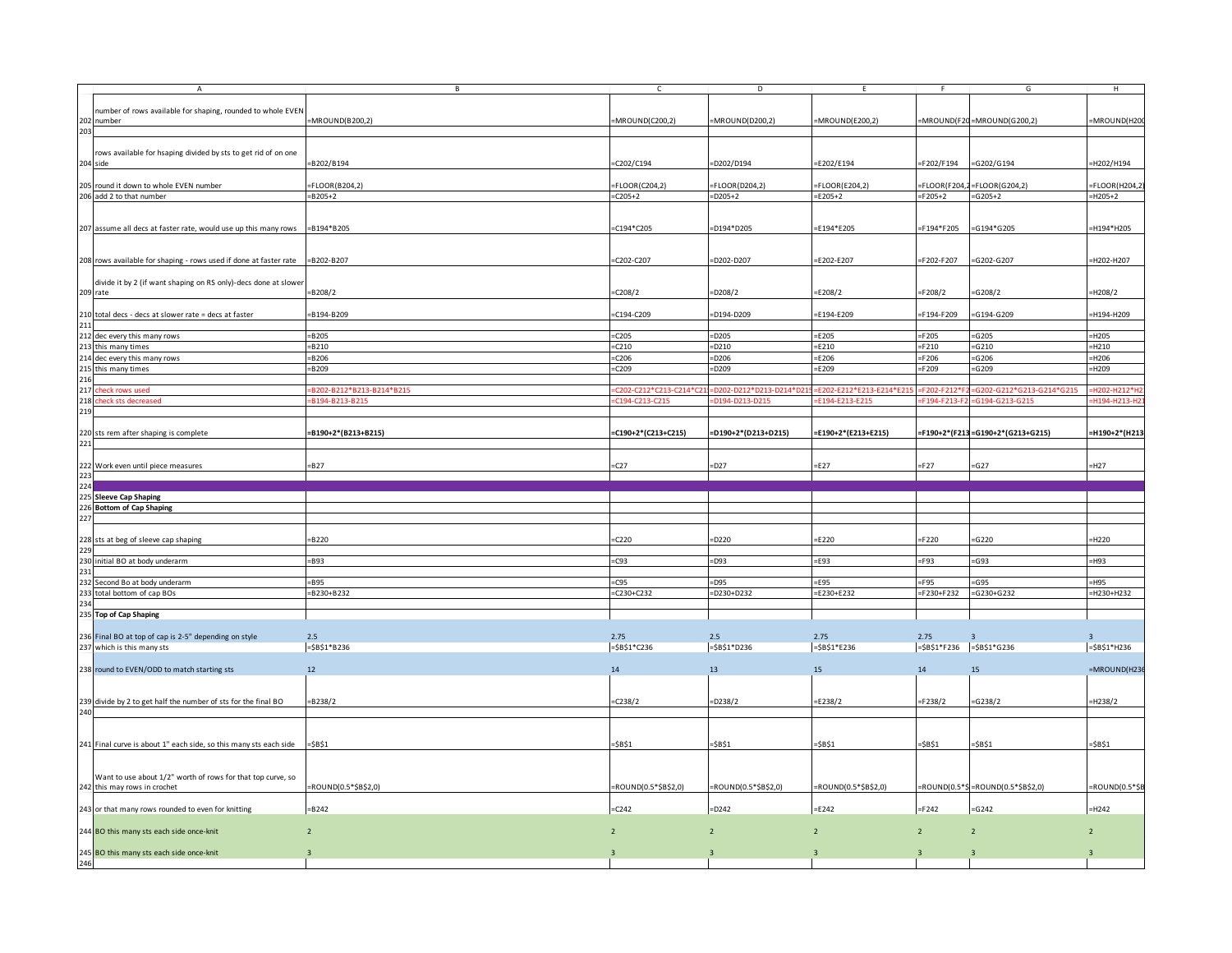|                                        | $\mathsf{A}$                                                                  | B                        | C.                     | D                      | E                       | -F                          | G                                 | H                |
|----------------------------------------|-------------------------------------------------------------------------------|--------------------------|------------------------|------------------------|-------------------------|-----------------------------|-----------------------------------|------------------|
|                                        |                                                                               |                          |                        |                        |                         |                             |                                   |                  |
|                                        | number of rows available for shaping, rounded to whole EVEN                   |                          |                        |                        |                         |                             |                                   |                  |
|                                        | 202 number                                                                    | =MROUND(B200,2)          | MROUND(C200,2)         | MROUND(D200,2)         | =MROUND(E200,2)         |                             | =MROUND(F20 = MROUND(G200,2)      | =MROUND(H20      |
| 203                                    |                                                                               |                          |                        |                        |                         |                             |                                   |                  |
|                                        |                                                                               |                          |                        |                        |                         |                             |                                   |                  |
|                                        | rows available for hsaping divided by sts to get rid of on one                |                          |                        |                        |                         |                             |                                   |                  |
|                                        |                                                                               |                          |                        |                        |                         |                             |                                   | =H202/H194       |
|                                        | 204 side                                                                      | B202/B194                | C202/C194              | =D202/D194             | E202/E194               | F202/F194                   | =G202/G194                        |                  |
|                                        |                                                                               |                          |                        |                        |                         |                             |                                   |                  |
|                                        | 205 round it down to whole EVEN number                                        | $= FLOOR(B204.2)$        | $=$ FLOOR(C204,2)      | $=$ FLOOR(D204,2)      | $=$ FLOOR(E204,2)       |                             | $=$ FLOOR(F204,2=FLOOR(G204,2)    | $=$ FLOOR(H204,2 |
|                                        | 206 add 2 to that number                                                      | $= B205 + 2$             | $C205+2$               | $=$ D205+2             | $=$ E205+2              | $=F205+2$                   | $= G205 + 2$                      | $=$ H205+2       |
|                                        |                                                                               |                          |                        |                        |                         |                             |                                   |                  |
|                                        |                                                                               |                          |                        |                        |                         |                             |                                   |                  |
|                                        |                                                                               | $= B194* B205$           | C194*C205              |                        | $=$ E194*E205           | F194*F205=                  | G194*G205                         | -H194*H205       |
|                                        | 207 assume all decs at faster rate, would use up this many rows               |                          |                        | $=$ D194*D205          |                         |                             |                                   |                  |
|                                        |                                                                               |                          |                        |                        |                         |                             |                                   |                  |
|                                        |                                                                               |                          |                        |                        |                         |                             |                                   |                  |
|                                        | 208 rows available for shaping - rows used if done at faster rate = B202-B207 |                          | $-C202-C207$           | $=$ D202-D207          | E202-E207               | F202-F207                   | $= G202 - G207$                   | H202-H207        |
|                                        |                                                                               |                          |                        |                        |                         |                             |                                   |                  |
|                                        | divide it by 2 (if want shaping on RS only)-decs done at slower               |                          |                        |                        |                         |                             |                                   |                  |
|                                        | 209 rate                                                                      | =B208/2                  | $-C208/2$              | $-D208/2$              | E208/2                  | F208/2                      | =G208/2                           | =H208/2          |
|                                        |                                                                               |                          |                        |                        |                         |                             |                                   |                  |
|                                        |                                                                               |                          |                        |                        |                         |                             |                                   |                  |
|                                        | 210 total decs - decs at slower rate = decs at faster                         | B194-B209                | $-C194-C209$           | $=$ D194-D209          | $=$ E194-E209           | F194-F209                   | $= G194 - G209$                   | =H194-H209       |
| 211                                    |                                                                               |                          |                        |                        |                         |                             |                                   |                  |
|                                        | 212 dec every this many rows                                                  | $=$ B205                 | $=$ C205               | $=$ D205               | $=$ E205                | $=F205$                     | $=$ G205                          | $=$ H205         |
|                                        | 213 this many times                                                           | $= B210$                 | $=$ C210               | $=$ D210               | $=$ E210                | $=F210$                     | $=$ G210                          | $=$ H210         |
|                                        | 214 dec every this many rows                                                  | $= B206$                 | $=$ C206               | $=$ D206               | $=$ E206                | $=F206$                     | $=$ G206                          | $=$ H206         |
|                                        |                                                                               |                          |                        |                        |                         |                             |                                   |                  |
|                                        | 215 this many times<br>216                                                    | $= B209$                 | $=$ C209               | $=$ D209               | $=$ E209                | $=F209$                     | $=$ G209                          | $=$ H209         |
|                                        |                                                                               |                          |                        |                        |                         |                             |                                   |                  |
|                                        | 217 check rows used                                                           | B202-B212*B213-B214*B215 | C202-C212*C213-C214*C2 | D202-D212*D213-D214*D2 | E202-E212*E213-E214*E21 | F202-F212                   | G202-G212*G213-G214*G215          | H202-H212*I      |
|                                        | 218 check sts decreased                                                       | B194-B213-B215           | C194-C213-C215         | =D194-D213-D215        | F194-F213-F215          | F194-F213                   | G194-G213-G215                    | H194-H213-H      |
| 219                                    |                                                                               |                          |                        |                        |                         |                             |                                   |                  |
|                                        |                                                                               |                          |                        |                        |                         |                             |                                   |                  |
|                                        | 220 sts rem after shaping is complete                                         | =B190+2*(B213+B215)      | =C190+2*(C213+C215)    | =D190+2*(D213+D215)    | =E190+2*(E213+E215)     |                             | =F190+2*(F213=G190+2*(G213+G215)  | =H190+2*(H213    |
|                                        |                                                                               |                          |                        |                        |                         |                             |                                   |                  |
| 221                                    |                                                                               |                          |                        |                        |                         |                             |                                   |                  |
|                                        |                                                                               |                          |                        |                        |                         |                             |                                   |                  |
|                                        | 222 Work even until piece measures                                            | $-B27$                   | C27                    | $-D27$                 | $=E27$                  | $=F27$                      | $= G27$                           | $-H27$           |
| 223                                    |                                                                               |                          |                        |                        |                         |                             |                                   |                  |
|                                        |                                                                               |                          |                        |                        |                         |                             |                                   |                  |
|                                        |                                                                               |                          |                        |                        |                         |                             |                                   |                  |
|                                        |                                                                               |                          |                        |                        |                         |                             |                                   |                  |
|                                        | 225 Sleeve Cap Shaping                                                        |                          |                        |                        |                         |                             |                                   |                  |
|                                        | 226 Bottom of Cap Shaping                                                     |                          |                        |                        |                         |                             |                                   |                  |
|                                        |                                                                               |                          |                        |                        |                         |                             |                                   |                  |
|                                        |                                                                               |                          |                        |                        |                         |                             |                                   |                  |
|                                        | 228 sts at beg of sleeve cap shaping                                          | =B220                    | $-C220$                | =D220                  | $=$ E220                | F220                        | $=$ G220                          | $=$ H220         |
|                                        |                                                                               |                          |                        |                        |                         |                             |                                   |                  |
|                                        |                                                                               |                          |                        |                        |                         |                             |                                   |                  |
|                                        | 230 initial BO at body underarm                                               | =B93                     | $=$ C93                | $=$ D93                | $=$ E93                 | $=$ F93                     | =G93                              | $=$ H93          |
|                                        |                                                                               |                          |                        |                        |                         |                             |                                   |                  |
|                                        | 232 Second Bo at body underarm                                                | $= B95$                  | $=$ C95                | $=$ D95                | $=$ E95                 | $=$ F95                     | =G95                              | $=$ H95          |
|                                        | 233 total bottom of cap BOs                                                   | $= B230 + B232$          | $=C230+C232$           | $=$ D230+D232          | $=$ E230+E232           | $=$ F230+F232               | $= G230 + G232$                   | $=$ H230+H232    |
|                                        |                                                                               |                          |                        |                        |                         |                             |                                   |                  |
|                                        | 235 Top of Cap Shaping                                                        |                          |                        |                        |                         |                             |                                   |                  |
|                                        |                                                                               |                          |                        |                        |                         |                             |                                   |                  |
|                                        |                                                                               |                          |                        |                        |                         |                             |                                   | $\overline{3}$   |
|                                        | 236 Final BO at top of cap is 2-5" depending on style                         | 2.5                      | 2.75                   | 2.5                    | 2.75                    | 2.75                        | $\overline{3}$                    |                  |
|                                        | 237 which is this many sts                                                    | $= $B$1*B236$            | $= $B$1*C236$          | $= $B $1*D236$         | $= $B$1*E236$           | $= $B$1*F236$ = $$B$1*G236$ |                                   | $= $B$1*H236$    |
|                                        |                                                                               |                          |                        |                        |                         |                             |                                   |                  |
|                                        | 238 round to EVEN/ODD to match starting sts                                   | 12                       | 14                     | 13                     | 15                      | 14                          | 15                                | $=MROUND(H236)$  |
|                                        |                                                                               |                          |                        |                        |                         |                             |                                   |                  |
|                                        |                                                                               |                          |                        |                        |                         |                             |                                   |                  |
|                                        |                                                                               |                          |                        |                        |                         |                             |                                   |                  |
|                                        | 239 divide by 2 to get half the number of sts for the final BO                | $-B238/2$                | $-C238/2$              | $-D238/2$              | E238/2                  | $=F238/2$                   | $=G238/2$                         | =H238/2          |
|                                        |                                                                               |                          |                        |                        |                         |                             |                                   |                  |
|                                        |                                                                               |                          |                        |                        |                         |                             |                                   |                  |
|                                        |                                                                               |                          |                        |                        |                         |                             |                                   |                  |
|                                        | 241 Final curve is about 1" each side, so this many sts each side             | $= $B$1$                 | =\$B\$1                | =\$B\$1                | =\$B\$1                 | =\$B\$1                     | =\$B\$1                           | =\$B\$1          |
|                                        |                                                                               |                          |                        |                        |                         |                             |                                   |                  |
|                                        |                                                                               |                          |                        |                        |                         |                             |                                   |                  |
|                                        |                                                                               |                          |                        |                        |                         |                             |                                   |                  |
|                                        | Want to use about 1/2" worth of rows for that top curve, so                   |                          |                        |                        |                         |                             |                                   |                  |
|                                        | 242 this may rows in crochet                                                  | $=$ ROUND(0.5*\$B\$2,0)  | =ROUND(0.5*\$B\$2,0)   | =ROUND(0.5*\$B\$2,0)   | =ROUND(0.5*\$B\$2,0)    |                             | =ROUND(0.5*\$=ROUND(0.5*\$B\$2,0) |                  |
|                                        |                                                                               |                          |                        |                        |                         |                             |                                   | =ROUND(0.5*\$B   |
|                                        | 243 or that many rows rounded to even for knitting                            | $= B242$                 | $=$ C242               | $=$ D242               | $=$ E242                | $=F242$                     | $=$ G242                          | $=$ H242         |
| 224<br>227<br>229<br>231<br>234<br>240 |                                                                               |                          |                        |                        |                         |                             |                                   |                  |
|                                        |                                                                               |                          |                        |                        | $\overline{2}$          |                             |                                   |                  |
|                                        | 244 BO this many sts each side once-knit                                      | $\overline{2}$           | $\overline{2}$         | $\overline{2}$         |                         | $\overline{2}$              | $\overline{2}$                    | $\overline{2}$   |
|                                        |                                                                               |                          |                        |                        |                         |                             |                                   |                  |
| 246                                    | 245 BO this many sts each side once-knit                                      | $\overline{3}$           |                        |                        |                         |                             |                                   | $\overline{3}$   |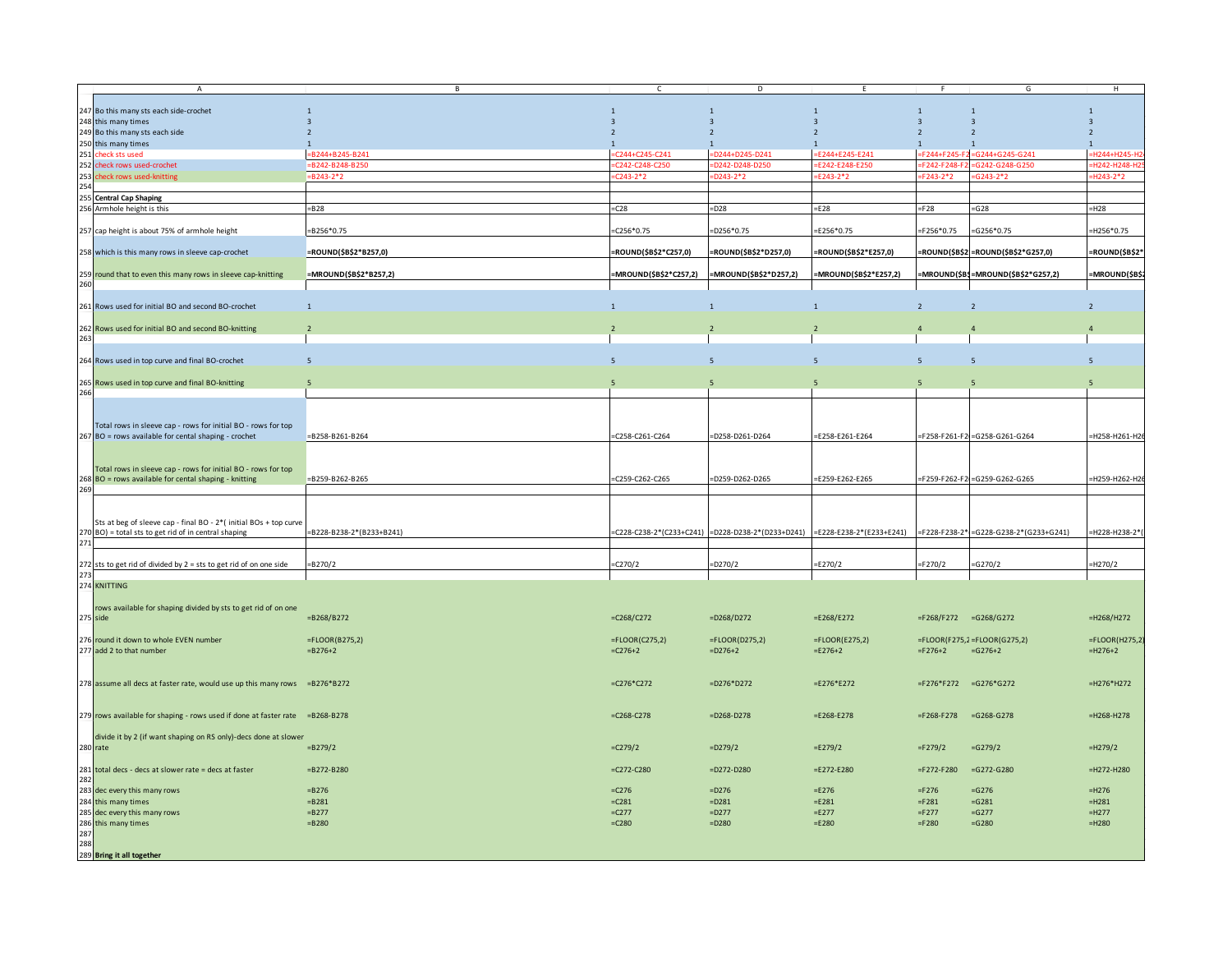|            | Α                                                                            | В                        | $\mathsf{C}$           | D                                                 | E                        |                       | G                                      | H                       |
|------------|------------------------------------------------------------------------------|--------------------------|------------------------|---------------------------------------------------|--------------------------|-----------------------|----------------------------------------|-------------------------|
|            |                                                                              |                          |                        |                                                   |                          |                       |                                        |                         |
|            | 247 Bo this many sts each side-crochet                                       | $\mathbf{1}$             | $\mathbf{1}$           | $\mathbf{1}$                                      | $\overline{1}$           | $\mathbf{1}$          | $\mathbf{1}$                           | $\mathbf{1}$            |
|            | 248 this many times                                                          |                          | $\overline{3}$         |                                                   | 3                        | $\overline{3}$        | $\overline{3}$                         | $\overline{\mathbf{3}}$ |
|            | 249 Bo this many sts each side                                               |                          |                        |                                                   |                          | $\overline{2}$        | $\overline{2}$                         | $2^{\circ}$             |
|            | 250 this many times                                                          | $\overline{1}$           | $\overline{1}$         |                                                   | $\mathbf{1}$             | $\mathbf{1}$          | $\mathbf{1}$                           | $\mathbf{1}$            |
|            | 251 check sts used                                                           | $= B244 + B245 - B241$   | $C244 + C245 - C241$   | =D244+D245-D241                                   | E244+E245-E241           |                       | =F244+F245-F2=G244+G245-G241           | =H244+H245-H            |
|            | 252 check rows used-crochet                                                  | $= B242 - B248 - B250$   | :C242-C248-C250        | D242-D248-D250                                    | EF242-F248-F250          | F242-F248-F           | G242-G248-G250                         | -H242-H248-H2           |
|            | 253 check rows used-knitting                                                 | $= B243 - 2*2$           | $-C243-2*2$            | D243-2*2                                          | F243-2*                  | $=$ F243-2*2          | G243-2*2                               | H243-2*2                |
| 254        |                                                                              |                          |                        |                                                   |                          |                       |                                        |                         |
|            |                                                                              |                          |                        |                                                   |                          |                       |                                        |                         |
|            | 255 Central Cap Shaping                                                      |                          |                        |                                                   |                          |                       |                                        |                         |
|            | 256 Armhole height is this                                                   | $= B28$                  | $=$ C28                | $=$ D28                                           | $=$ E28                  | $=F28$                | $= G28$                                | $=$ H28                 |
|            |                                                                              |                          |                        |                                                   |                          |                       |                                        |                         |
|            | 257 cap height is about 75% of armhole height                                | $= B256*0.75$            | $-C256*0.75$           | $=$ D256*0.75                                     | $=$ E256*0.75            | $=$ F256*0.75         | $= G256*0.75$                          | H256*0.75               |
|            |                                                                              |                          |                        |                                                   |                          |                       |                                        |                         |
|            | 258 which is this many rows in sleeve cap-crochet                            | =ROUND(\$B\$2*B257,0)    | =ROUND(\$B\$2*C257,0)  | =ROUND(\$B\$2*D257,0)                             | =ROUND(\$B\$2*E257,0)    |                       | =ROUND(\$B\$2 = ROUND(\$B\$2*G257,0)   | =ROUND(\$B\$2'          |
|            |                                                                              |                          |                        |                                                   |                          |                       |                                        |                         |
|            | 259 round that to even this many rows in sleeve cap-knitting                 | =MROUND(\$B\$2*B257,2)   | =MROUND(\$B\$2*C257,2) | =MROUND(\$B\$2*D257,2)                            | =MROUND(\$B\$2*E257,2)   |                       | =MROUND(\$B\$=MROUND(\$B\$2*G257,2)    | =MROUND(\$B\$           |
| 260        |                                                                              |                          |                        |                                                   |                          |                       |                                        |                         |
|            |                                                                              |                          |                        |                                                   |                          |                       |                                        |                         |
|            |                                                                              |                          |                        |                                                   |                          |                       |                                        |                         |
|            | 261 Rows used for initial BO and second BO-crochet                           | $\overline{1}$           | $\overline{1}$         | $\mathbf{1}$                                      | $\mathbf{1}$             | $\overline{2}$        | $\overline{2}$                         | $2^{\circ}$             |
|            |                                                                              |                          |                        |                                                   |                          |                       |                                        |                         |
|            | 262 Rows used for initial BO and second BO-knitting                          |                          |                        |                                                   |                          |                       |                                        | $\overline{4}$          |
| 263        |                                                                              |                          |                        |                                                   |                          |                       |                                        |                         |
|            |                                                                              |                          |                        |                                                   |                          |                       |                                        |                         |
|            | 264 Rows used in top curve and final BO-crochet                              | 5                        | 5                      | $\overline{5}$                                    | $\overline{5}$           | 5                     | $5\phantom{.0}$                        | 5                       |
|            |                                                                              |                          |                        |                                                   |                          |                       |                                        |                         |
|            |                                                                              |                          | $\overline{5}$         |                                                   |                          |                       |                                        |                         |
|            | 265 Rows used in top curve and final BO-knitting                             |                          |                        |                                                   |                          |                       |                                        |                         |
| 266        |                                                                              |                          |                        |                                                   |                          |                       |                                        |                         |
|            |                                                                              |                          |                        |                                                   |                          |                       |                                        |                         |
|            |                                                                              |                          |                        |                                                   |                          |                       |                                        |                         |
|            | Total rows in sleeve cap - rows for initial BO - rows for top                |                          |                        |                                                   |                          |                       |                                        |                         |
|            | 267 BO = rows available for cental shaping - crochet                         | =B258-B261-B264          | =C258-C261-C264        | =D258-D261-D264                                   | =E258-E261-E264          |                       | =F258-F261-F2 =G258-G261-G264          | =H258-H261-H26          |
|            |                                                                              |                          |                        |                                                   |                          |                       |                                        |                         |
|            |                                                                              |                          |                        |                                                   |                          |                       |                                        |                         |
|            |                                                                              |                          |                        |                                                   |                          |                       |                                        |                         |
|            | Total rows in sleeve cap - rows for initial BO - rows for top                |                          |                        |                                                   |                          |                       |                                        |                         |
|            | 268 BO = rows available for cental shaping - knitting                        | =B259-B262-B265          | =C259-C262-C265        | D259-D262-D265                                    | =E259-E262-E265          |                       | F259-F262-F2 =G259-G262-G265           | H259-H262-H2            |
| 269        |                                                                              |                          |                        |                                                   |                          |                       |                                        |                         |
|            |                                                                              |                          |                        |                                                   |                          |                       |                                        |                         |
|            |                                                                              |                          |                        |                                                   |                          |                       |                                        |                         |
|            | Sts at beg of sleeve cap - final BO - 2*( initial BOs + top curve            |                          |                        |                                                   |                          |                       |                                        |                         |
|            | 270 BO) = total sts to get rid of in central shaping                         | =B228-B238-2*(B233+B241) |                        | =C228-C238-2*(C233+C241) =D228-D238-2*(D233+D241) | =E228-E238-2*(E233+E241) |                       | =F228-F238-2* =G228-G238-2*(G233+G241) | =H228-H238-2*           |
| 271        |                                                                              |                          |                        |                                                   |                          |                       |                                        |                         |
|            |                                                                              |                          |                        |                                                   |                          |                       |                                        |                         |
|            |                                                                              |                          |                        | $=D270/2$                                         | $=E270/2$                |                       |                                        | $=$ H270/2              |
|            | 272 sts to get rid of divided by $2 =$ sts to get rid of on one side         | $= B270/2$               | $-C270/2$              |                                                   |                          | $=F270/2$             | $=G270/2$                              |                         |
| 273        |                                                                              |                          |                        |                                                   |                          |                       |                                        |                         |
|            | 274 KNITTING                                                                 |                          |                        |                                                   |                          |                       |                                        |                         |
|            |                                                                              |                          |                        |                                                   |                          |                       |                                        |                         |
|            | rows available for shaping divided by sts to get rid of on one               |                          |                        |                                                   |                          |                       |                                        |                         |
|            | 275 side                                                                     | $= B268/B272$            | $=C268/C272$           | $=$ D268/D272                                     | $=$ E268/E272            | =F268/F272 =G268/G272 |                                        | $=$ H268/H272           |
|            |                                                                              |                          |                        |                                                   |                          |                       |                                        |                         |
|            | 276 round it down to whole EVEN number                                       | $= FLOOR(B275,2)$        | $=$ FLOOR(C275,2)      | $=$ FLOOR(D275,2)                                 | $=$ FLOOR(E275,2)        |                       | $=$ FLOOR(F275,2=FLOOR(G275,2)         | $=$ FLOOR(H275,2        |
|            |                                                                              |                          |                        |                                                   |                          |                       |                                        |                         |
|            | 277 add 2 to that number                                                     | $= B276 + 2$             | $=C276+2$              | $= D276 + 2$                                      | $=$ E276+2               | $=F276+2$             | $=G276+2$                              | $=$ H276+2              |
|            |                                                                              |                          |                        |                                                   |                          |                       |                                        |                         |
|            |                                                                              |                          |                        |                                                   |                          |                       |                                        |                         |
|            | 278 assume all decs at faster rate, would use up this many rows =B276*B272   |                          | $=$ C276*C272          | $=$ D276*D272                                     | $=$ E276*E272            | =F276*F272 =G276*G272 |                                        | $=$ H276*H272           |
|            |                                                                              |                          |                        |                                                   |                          |                       |                                        |                         |
|            |                                                                              |                          |                        |                                                   |                          |                       |                                        |                         |
|            | 279 rows available for shaping - rows used if done at faster rate =B268-B278 |                          | $=$ C268-C278          | $=$ D268-D278                                     | $= E268 - E278$          | $=$ F268-F278         | $= G268 - G278$                        | $=$ H268-H278           |
|            |                                                                              |                          |                        |                                                   |                          |                       |                                        |                         |
|            |                                                                              |                          |                        |                                                   |                          |                       |                                        |                         |
|            | divide it by 2 (if want shaping on RS only)-decs done at slower              |                          |                        |                                                   |                          |                       |                                        |                         |
|            | 280 rate                                                                     | $= B279/2$               | C279/2                 | $=D279/2$                                         | $=E279/2$                | $=F279/2$             | $=$ G279/2                             | $=$ H279/2              |
|            |                                                                              |                          |                        |                                                   |                          |                       |                                        |                         |
|            | 281 total decs - decs at slower rate = decs at faster                        | $= B272 - B280$          | $=$ C272-C280          | $=$ D272-D280                                     | $=$ E272-E280            | $=$ F272-F280         | $=$ G272-G280                          | $=$ H272-H280           |
| 282        |                                                                              |                          |                        |                                                   |                          |                       |                                        |                         |
|            |                                                                              |                          |                        |                                                   |                          |                       |                                        |                         |
|            | 283 dec every this many rows                                                 | $= B276$                 | $=$ C <sub>276</sub>   | $=$ D276                                          | $=$ E276                 | $=F276$               | $=$ G276                               | $=$ H276                |
|            | 284 this many times                                                          | $= B281$                 | $=C281$                | $=$ D281                                          | $=$ E281                 | $=F281$               | $=$ G281                               | $=$ H281                |
|            | 285 dec every this many rows                                                 | $= B277$                 | $=$ C277               | $=$ D277                                          | $=$ E277                 | $=F277$               | $=G277$                                | $=$ H277                |
|            | 286 this many times                                                          | $= B280$                 | $=C280$                | $=$ D280                                          | $=$ E280                 | $=F280$               | $=$ G280                               | $=$ H280                |
|            |                                                                              |                          |                        |                                                   |                          |                       |                                        |                         |
| 287<br>288 |                                                                              |                          |                        |                                                   |                          |                       |                                        |                         |
|            |                                                                              |                          |                        |                                                   |                          |                       |                                        |                         |
|            | 289 Bring it all together                                                    |                          |                        |                                                   |                          |                       |                                        |                         |